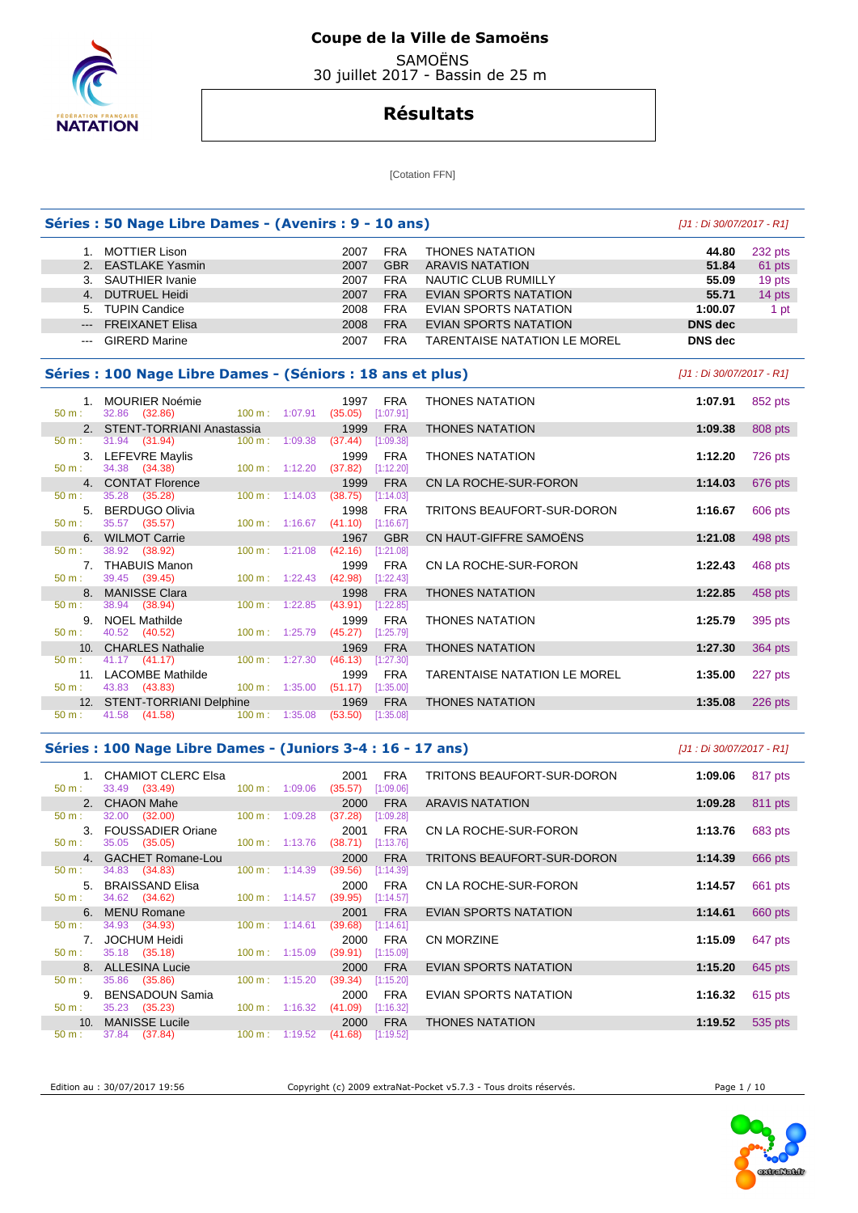

 SAMOËNS 30 juillet 2017 - Bassin de 25 m

# **Résultats**

[Cotation FFN]

### **Séries : 50 Nage Libre Dames - (Avenirs : 9 - 10 ans)** [J1 : Di 30/07/2017 - R1]

|                                                                                                                                                                                                                                                                                                                                                                                                                                                                            | 1. MOTTIER Lison       | 2007 | <b>FRA</b> | <b>THONES NATATION</b>              | 44.80          | 232 pts |
|----------------------------------------------------------------------------------------------------------------------------------------------------------------------------------------------------------------------------------------------------------------------------------------------------------------------------------------------------------------------------------------------------------------------------------------------------------------------------|------------------------|------|------------|-------------------------------------|----------------|---------|
|                                                                                                                                                                                                                                                                                                                                                                                                                                                                            | 2. EASTLAKE Yasmin     | 2007 | <b>GBR</b> | ARAVIS NATATION                     | 51.84          | 61 pts  |
|                                                                                                                                                                                                                                                                                                                                                                                                                                                                            | 3. SAUTHIER Ivanie     | 2007 | <b>FRA</b> | NAUTIC CLUB RUMILLY                 | 55.09          | 19 pts  |
|                                                                                                                                                                                                                                                                                                                                                                                                                                                                            | 4. DUTRUEL Heidi       | 2007 | <b>FRA</b> | EVIAN SPORTS NATATION               | 55.71          | 14 pts  |
|                                                                                                                                                                                                                                                                                                                                                                                                                                                                            | 5. TUPIN Candice       | 2008 | <b>FRA</b> | EVIAN SPORTS NATATION               | 1:00.07        | 1 pt    |
| $---$                                                                                                                                                                                                                                                                                                                                                                                                                                                                      | <b>FREIXANET Elisa</b> | 2008 | <b>FRA</b> | EVIAN SPORTS NATATION               | DNS dec        |         |
| $\frac{1}{2} \left( \frac{1}{2} \right) \left( \frac{1}{2} \right) \left( \frac{1}{2} \right) \left( \frac{1}{2} \right) \left( \frac{1}{2} \right) \left( \frac{1}{2} \right) \left( \frac{1}{2} \right) \left( \frac{1}{2} \right) \left( \frac{1}{2} \right) \left( \frac{1}{2} \right) \left( \frac{1}{2} \right) \left( \frac{1}{2} \right) \left( \frac{1}{2} \right) \left( \frac{1}{2} \right) \left( \frac{1}{2} \right) \left( \frac{1}{2} \right) \left( \frac$ | <b>GIRERD Marine</b>   | 2007 | FRA        | <b>TARENTAISE NATATION LE MOREL</b> | <b>DNS</b> dec |         |

#### Séries : 100 Nage Libre Dames - (Séniors : 18 ans et

| 50 m:            | 1. MOURIER Noémie<br>32.86 (32.86) | 100 m : 1:07.91 (35.05) [1:07.91]  | 1997                | <b>FRA</b> | <b>THONES NATATION</b>              | 1:07.91 | 852 pts |
|------------------|------------------------------------|------------------------------------|---------------------|------------|-------------------------------------|---------|---------|
|                  | 2. STENT-TORRIANI Anastassia       |                                    | 1999                | <b>FRA</b> | <b>THONES NATATION</b>              | 1:09.38 | 808 pts |
| $50 m$ :         | 31.94 (31.94)                      | $100 \text{ m}$ : 1:09.38          | (37.44)             | [1:09.38]  |                                     |         |         |
|                  | 3. LEFEVRE Maylis                  |                                    | 1999                | <b>FRA</b> | <b>THONES NATATION</b>              | 1:12.20 | 726 pts |
| 50 m:            | 34.38 (34.38) 100 m : 1:12.20      |                                    | $(37.82)$ [1:12.20] |            |                                     |         |         |
|                  | 4. CONTAT Florence                 |                                    | 1999                | <b>FRA</b> | CN LA ROCHE-SUR-FORON               | 1:14.03 | 676 pts |
| $50 \text{ m}$ : | 35.28 (35.28)                      | $100 \text{ m}: 1:14.03$           | (38.75)             | [1:14.03]  |                                     |         |         |
|                  | 5. BERDUGO Olivia                  |                                    | 1998                | FRA        | TRITONS BEAUFORT-SUR-DORON          | 1:16.67 | 606 pts |
| 50 m:            | 35.57 (35.57)                      | 100 m: $1:16.67$ (41.10) [1:16.67] |                     |            |                                     |         |         |
|                  | 6. WILMOT Carrie                   |                                    | 1967                | <b>GBR</b> | CN HAUT-GIFFRE SAMOËNS              | 1:21.08 | 498 pts |
| $50 \text{ m}$ : | 38.92 (38.92)                      | $100 \text{ m}: 1:21.08$           | (42.16)             | [1:21.08]  |                                     |         |         |
|                  | 7. THABUIS Manon                   |                                    | 1999                | FRA        | CN LA ROCHE-SUR-FORON               | 1:22.43 | 468 pts |
| $50 \text{ m}$ : | 39.45 (39.45)                      | $100 \text{ m}: 1:22.43$           | $(42.98)$ [1:22.43] |            |                                     |         |         |
|                  | 8. MANISSE Clara                   |                                    | 1998                | <b>FRA</b> | <b>THONES NATATION</b>              | 1:22.85 | 458 pts |
| $50 \text{ m}$ : | 38.94 (38.94)                      | $100 \text{ m}$ : 1:22.85          | (43.91)             | [1:22.85]  |                                     |         |         |
|                  | 9. NOEL Mathilde                   |                                    | 1999                | <b>FRA</b> | <b>THONES NATATION</b>              | 1:25.79 | 395 pts |
| $50 \text{ m}$ : | 40.52 (40.52)                      | $100 \text{ m}: 1:25.79$           | $(45.27)$ [1:25.79] |            |                                     |         |         |
|                  | 10. CHARLES Nathalie               |                                    | 1969                | <b>FRA</b> | <b>THONES NATATION</b>              | 1:27.30 | 364 pts |
| $50 \text{ m}$ : | 41.17 (41.17) 100 m : 1:27.30      |                                    | (46.13)             | [1:27.30]  |                                     |         |         |
|                  | 11. LACOMBE Mathilde               |                                    | 1999                | <b>FRA</b> | <b>TARENTAISE NATATION LE MOREL</b> | 1:35.00 | 227 pts |
| 50 m:            | 43.83 (43.83) 100 m : 1:35.00      |                                    | $(51.17)$ [1:35.00] |            |                                     |         |         |
|                  | 12. STENT-TORRIANI Delphine        |                                    | 1969                | <b>FRA</b> | <b>THONES NATATION</b>              | 1:35.08 | 226 pts |
| 50 m:            | 41.58 (41.58)                      | 100 m: 1:35.08 (53.50) [1:35.08]   |                     |            |                                     |         |         |

|                 | es : 100 Nage Libre Dames - (Seniors : 18 ans et plus) |                             |                                            |                                     | JJ1 : Di 30/07/2017 - R1J |           |
|-----------------|--------------------------------------------------------|-----------------------------|--------------------------------------------|-------------------------------------|---------------------------|-----------|
| 1.              | MOURIER Noémie<br>32.86 (32.86)                        | 100 m: 1:07.91              | <b>FRA</b><br>1997<br>(35.05)<br>[1:07.91] | <b>THONES NATATION</b>              | 1:07.91                   | 852 pts   |
|                 | 2. STENT-TORRIANI Anastassia                           |                             | 1999<br><b>FRA</b>                         | <b>THONES NATATION</b>              | 1:09.38                   | 808 pts   |
|                 | 31.94 (31.94)                                          | $100 \text{ m}$ : $1:09.38$ | (37.44)<br>[1:09.38]                       |                                     |                           |           |
|                 | 3. LEFEVRE Maylis                                      |                             | FRA<br>1999                                | <b>THONES NATATION</b>              | 1:12.20                   | 726 pts   |
|                 | 34.38 (34.38)                                          | $100 \text{ m}: 1:12.20$    | (37.82)<br>[1:12.20]                       |                                     |                           |           |
|                 | 4. CONTAT Florence                                     |                             | <b>FRA</b><br>1999                         | CN LA ROCHE-SUR-FORON               | 1:14.03                   | 676 pts   |
|                 | 35.28 (35.28)                                          | $100 \text{ m}: 1:14.03$    | (38.75)<br>[1:14.03]                       |                                     |                           |           |
|                 | 5. BERDUGO Olivia                                      |                             | FRA<br>1998                                | TRITONS BEAUFORT-SUR-DORON          | 1:16.67                   | 606 pts   |
|                 | 35.57 (35.57)                                          | $100 \text{ m}$ : 1:16.67   | (41.10)<br>[1:16.67]                       |                                     |                           |           |
|                 | 6. WILMOT Carrie                                       |                             | <b>GBR</b><br>1967                         | CN HAUT-GIFFRE SAMOËNS              | 1:21.08                   | 498 pts   |
|                 | 38.92 (38.92)                                          | 100 m: 1:21.08              | (42.16)<br>[1:21.08]                       |                                     |                           |           |
|                 | 7. THABUIS Manon                                       |                             | FRA<br>1999                                | CN LA ROCHE-SUR-FORON               | 1:22.43                   | 468 pts   |
|                 | 39.45 (39.45)                                          | $100 \text{ m}: 1:22.43$    | (42.98)<br>[1:22.43]                       |                                     |                           |           |
| 8 <sub>1</sub>  | <b>MANISSE Clara</b>                                   |                             | <b>FRA</b><br>1998                         | <b>THONES NATATION</b>              | 1:22.85                   | 458 pts   |
|                 | 38.94 (38.94)                                          | $100 \text{ m}: 1:22.85$    | (43.91)<br>[1:22.85]                       |                                     |                           |           |
| 9.              | <b>NOEL Mathilde</b>                                   |                             | <b>FRA</b><br>1999                         | <b>THONES NATATION</b>              | 1:25.79                   | 395 pts   |
|                 | 40.52 (40.52)                                          | 100 m: 1:25.79              | (45.27)<br>[1:25.79]                       |                                     |                           |           |
| 10.             | <b>CHARLES Nathalie</b>                                |                             | <b>FRA</b><br>1969                         | <b>THONES NATATION</b>              | 1:27.30                   | 364 pts   |
|                 | 41.17 (41.17)                                          | $100 \text{ m}: 1:27.30$    | (46.13)<br>[1:27.30]                       |                                     |                           |           |
| 11.             | <b>LACOMBE Mathilde</b>                                |                             | <b>FRA</b><br>1999                         | <b>TARENTAISE NATATION LE MOREL</b> | 1:35.00                   | 227 pts   |
|                 | 43.83 (43.83)                                          | $100 \text{ m}: 1:35.00$    | (51.17)<br>[1:35.00]                       |                                     |                           |           |
| 12 <sup>2</sup> | STENT-TORRIANI Delphine                                |                             | <b>FRA</b><br>1969                         | <b>THONES NATATION</b>              | 1:35.08                   | $226$ pts |

#### **Séries : 100 Nage Libre Dames - (Juniors 3-4 : 16 - 17 ans)** [J1 : Di 30/07/2017 - R1]

 1. CHAMIOT CLERC Elsa 2001 FRA TRITONS BEAUFORT-SUR-DORON **1:09.06** 817 pts  $100 m : 1:09.06$  2. CHAON Mahe 2000 FRA ARAVIS NATATION **1:09.28** 811 pts  $(32.00)$  100 m : 1:09.28  $(37.28)$  3. FOUSSADIER Oriane 2001 FRA CN LA ROCHE-SUR-FORON **1:13.76** 683 pts 50 m : 35.05 (35.05) 100 m : 1:13.76 (38.71) [1:13.76] 4. GACHET Romane-Lou 2000 FRA TRITONS BEAUFORT-SUR-DORON **1:14.39** 666 pts 50 m : 34.83 (34.83) 100 m : 1:14.39 (39.56) [1:14.39] 5. BRAISSAND Elisa 2000 FRA CN LA ROCHE-SUR-FORON **1:14.57** 661 pts  $(34.62)$  6. MENU Romane 2001 FRA EVIAN SPORTS NATATION **1:14.61** 660 pts 34.93 (34.93) 100 m : 1:14.61 (39.68) [1:14.61] 7. JOCHUM Heidi 2000 FRA CN MORZINE **1:15.09** 647 pts  $(39.91)$   $[1:15.09]$  8. ALLESINA Lucie 2000 FRA EVIAN SPORTS NATATION **1:15.20** 645 pts 50 m : 35.86 (35.86) 100 m : 1:15.20 (39.34) [1:15.20] 9. BENSADOUN Samia 2000 FRA EVIAN SPORTS NATATION **1:16.32** 615 pts  $(41.09)$  [1:16.32] 10. MANISSE Lucile 2000 FRA THONES NATATION **1:19.52** 535 pts  $(37.84)$ 

Edition au : 30/07/2017 19:56 Copyright (c) 2009 extraNat-Pocket v5.7.3 - Tous droits réservés. Page 1 / 10

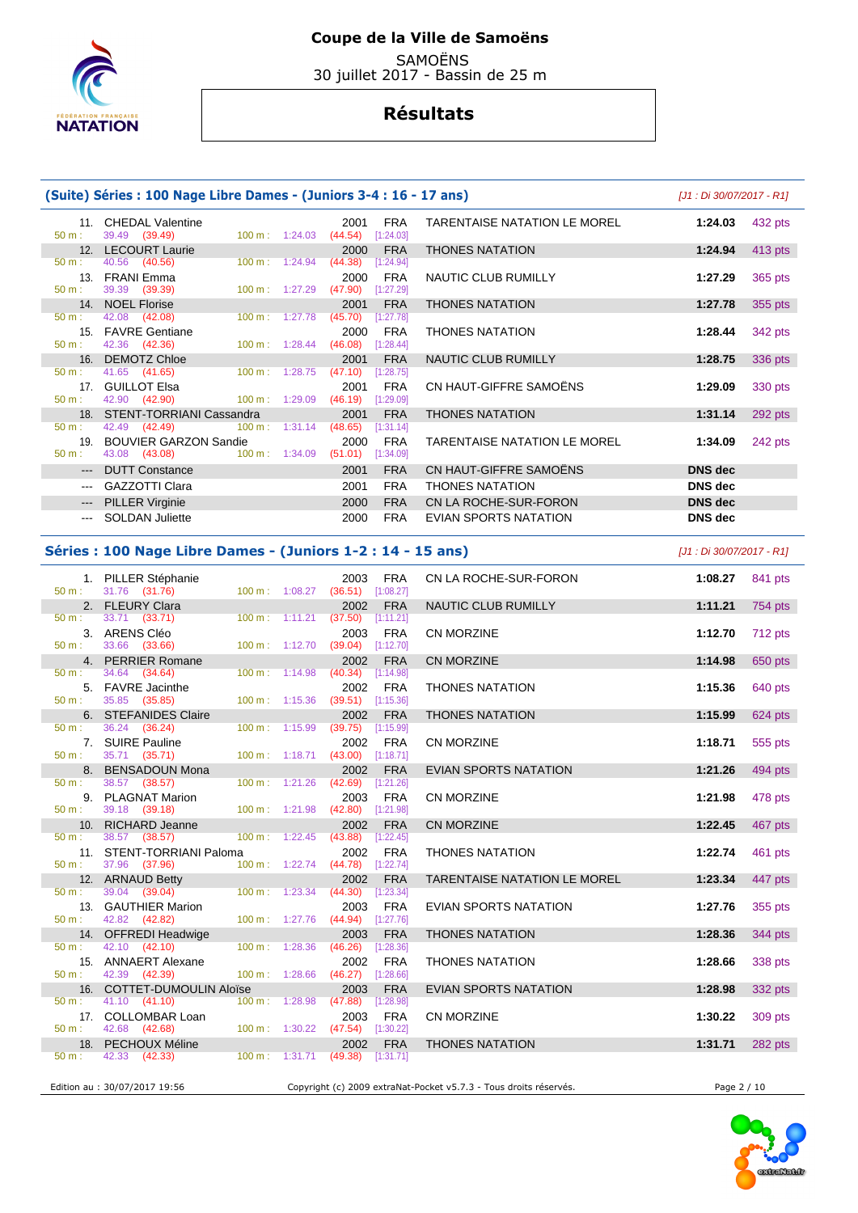

 SAMOËNS 30 juillet 2017 - Bassin de 25 m

# **Résultats**

| (Suite) Séries : 100 Nage Libre Dames - (Juniors 3-4 : 16 - 17 ans) | [J1 : Di 30/07/2017 - R1]                                                     |                           |                 |                         |                                     |                |         |
|---------------------------------------------------------------------|-------------------------------------------------------------------------------|---------------------------|-----------------|-------------------------|-------------------------------------|----------------|---------|
| $50 m$ :                                                            | 11. CHEDAL Valentine<br>39.49 (39.49)                                         | $100 \text{ m}: 1:24.03$  | 2001<br>(44.54) | <b>FRA</b><br>[1:24.03] | <b>TARENTAISE NATATION LE MOREL</b> | 1:24.03        | 432 pts |
|                                                                     | 12. LECOURT Laurie                                                            |                           | 2000            | <b>FRA</b>              | <b>THONES NATATION</b>              | 1:24.94        | 413 pts |
| $50 m$ :                                                            | 40.56 (40.56)                                                                 | $100 \text{ m}$ : 1:24.94 | (44.38)         | [1:24.94]               |                                     |                |         |
| $50 m$ :                                                            | 13. FRANI Emma<br>39.39 (39.39)                                               | 100 m: 1:27.29            | 2000<br>(47.90) | <b>FRA</b><br>[1:27.29] | NAUTIC CLUB RUMILLY                 | 1:27.29        | 365 pts |
|                                                                     | 14. NOEL Florise                                                              |                           | 2001            | <b>FRA</b>              | <b>THONES NATATION</b>              | 1:27.78        | 355 pts |
| $50 m$ :                                                            | 42.08 (42.08)                                                                 | $100 \text{ m}: 1:27.78$  | (45.70)         | [1:27.78]               |                                     |                |         |
|                                                                     | 15. FAVRE Gentiane                                                            |                           | 2000            | <b>FRA</b>              | <b>THONES NATATION</b>              | 1:28.44        | 342 pts |
| $50 m$ :                                                            | 42.36 (42.36)                                                                 | $100 \text{ m}$ : 1:28.44 | (46.08)         | [1:28.44]               |                                     |                |         |
|                                                                     | 16. DEMOTZ Chloe                                                              |                           | 2001            | <b>FRA</b>              | NAUTIC CLUB RUMILLY                 | 1:28.75        | 336 pts |
| $50 m$ :                                                            | 41.65 (41.65)                                                                 | $100 \text{ m}$ : 1:28.75 | (47.10)         | [1:28.75]               |                                     |                |         |
|                                                                     | 17. GUILLOT Elsa                                                              |                           | 2001            | <b>FRA</b>              | CN HAUT-GIFFRE SAMOËNS              | 1:29.09        | 330 pts |
| $50 m$ :<br>18                                                      | 42.90 (42.90)<br>$100 \text{ m}$ : 1:29.09                                    |                           | (46.19)<br>2001 | [1:29.09]               |                                     |                |         |
| $50 m$ :                                                            | <b>STENT-TORRIANI Cassandra</b><br>42.49 (42.49)<br>$100 \text{ m}$ : 1:31.14 |                           | (48.65)         | <b>FRA</b><br>[1:31.14] | <b>THONES NATATION</b>              | 1:31.14        | 292 pts |
|                                                                     | 19. BOUVIER GARZON Sandie                                                     |                           | 2000            | <b>FRA</b>              | <b>TARENTAISE NATATION LE MOREL</b> | 1:34.09        | 242 pts |
| $50 m$ :                                                            | 43.08 (43.08)                                                                 | $100 \text{ m}: 1:34.09$  | (51.01)         | [1:34.09]               |                                     |                |         |
| $---$                                                               | <b>DUTT Constance</b>                                                         |                           | 2001            | <b>FRA</b>              | CN HAUT-GIFFRE SAMOËNS              | <b>DNS</b> dec |         |
|                                                                     | <b>GAZZOTTI Clara</b>                                                         |                           | 2001            | <b>FRA</b>              | <b>THONES NATATION</b>              | <b>DNS</b> dec |         |
| $---$                                                               | <b>PILLER Virginie</b>                                                        |                           | 2000            | <b>FRA</b>              | CN LA ROCHE-SUR-FORON               | <b>DNS</b> dec |         |
| $\cdots$                                                            | <b>SOLDAN Juliette</b>                                                        |                           | 2000            | <b>FRA</b>              | EVIAN SPORTS NATATION               | <b>DNS</b> dec |         |

#### **Séries : 100 Nage Libre Dames - (Juniors 1-2 : 14 - 15 ans)** [J1 : Di 30/07/2017 - R1]

|                  | 1. PILLER Stéphanie<br>$50 \text{ m}$ : $31.76$ (31.76) $100 \text{ m}$ : $1:08.27$ (36.51) [1:08.27] |                                                |                                  |      | 2003 FRA   | CN LA ROCHE-SUR-FORON                                             | 1:08.27     | 841 pts |
|------------------|-------------------------------------------------------------------------------------------------------|------------------------------------------------|----------------------------------|------|------------|-------------------------------------------------------------------|-------------|---------|
|                  |                                                                                                       |                                                |                                  |      |            | NAUTIC CLUB RUMILLY                                               | 1:11.21     | 754 pts |
| 50 m:            |                                                                                                       |                                                |                                  |      |            |                                                                   |             |         |
| 50 m:            | 3. ARENS Cléo<br>33.66 (33.66) 100 m: 1:12.70 (39.04) [1:12.70]                                       |                                                |                                  | 2003 | <b>FRA</b> | CN MORZINE                                                        | 1:12.70     | 712 pts |
|                  | 4. PERRIER Romane                                                                                     |                                                |                                  | 2002 | <b>FRA</b> | CN MORZINE                                                        | 1:14.98     | 650 pts |
| 50 m:            | 34.64 (34.64)                                                                                         |                                                | 100 m: 1:14.98 (40.34) [1:14.98] |      |            |                                                                   |             |         |
|                  | 5. FAVRE Jacinthe                                                                                     |                                                |                                  | 2002 | <b>FRA</b> | <b>THONES NATATION</b>                                            | 1:15.36     | 640 pts |
|                  | 50 m : 35.85 (35.85)                                                                                  |                                                | 100 m: 1:15.36 (39.51) [1:15.36] |      |            |                                                                   |             |         |
|                  | 6. STEFANIDES Claire                                                                                  |                                                |                                  | 2002 | <b>FRA</b> | <b>THONES NATATION</b>                                            | 1:15.99     | 624 pts |
|                  | $50 \text{ m}: 36.24 (36.24)$                                                                         |                                                | 100 m: 1:15.99 (39.75) [1:15.99] |      |            |                                                                   |             |         |
|                  | 7. SUIRE Pauline<br>50 m : 35.71 (35.71) 100 m : 1:18.71 (43.00) [1:18.71]                            |                                                |                                  | 2002 | <b>FRA</b> | CN MORZINE                                                        | 1:18.71     | 555 pts |
|                  | 8. BENSADOUN Mona                                                                                     |                                                |                                  | 2002 | <b>FRA</b> | <b>EVIAN SPORTS NATATION</b>                                      | 1:21.26     | 494 pts |
| $50 \text{ m}$ : | 38.57 (38.57)                                                                                         | $100 \text{ m}: 1:21.26$ $(42.69)$ $[1:21.26]$ |                                  |      |            |                                                                   |             |         |
|                  | 9. PLAGNAT Marion                                                                                     |                                                |                                  | 2003 | <b>FRA</b> | CN MORZINE                                                        | 1:21.98     | 478 pts |
| 50 m:            | 39.18 (39.18)                                                                                         | 100 m: 1:21.98 (42.80) [1:21.98]               |                                  |      |            |                                                                   |             |         |
|                  | 10. RICHARD Jeanne                                                                                    |                                                |                                  | 2002 | <b>FRA</b> | CN MORZINE                                                        | 1:22.45     | 467 pts |
| $50 \text{ m}$ : | 38.57 (38.57)                                                                                         | $100 \text{ m}: 1:22.45 (43.88) [1:22.45]$     |                                  |      |            |                                                                   |             |         |
| $50 \text{ m}$ : | 11. STENT-TORRIANI Paloma<br>37.96 (37.96)                                                            |                                                |                                  | 2002 | <b>FRA</b> | <b>THONES NATATION</b>                                            | 1:22.74     | 461 pts |
|                  |                                                                                                       | 100 m : $1:22.74$ (44.78) [1:22.74]            |                                  |      |            | TARENTAISE NATATION LE MOREL                                      | 1:23.34     | 447 pts |
| 50 m:            | 12. ARNAUD Betty<br>100 m: 1:23.34 (44.30) [1:23.34]                                                  |                                                |                                  |      |            |                                                                   |             |         |
|                  | 13. GAUTHIER Marion                                                                                   |                                                |                                  |      | 2003 FRA   | EVIAN SPORTS NATATION                                             | 1:27.76     | 355 pts |
|                  | 50 m: 42.82 (42.82) 100 m: 1:27.76 (44.94) [1:27.76]                                                  |                                                |                                  |      |            |                                                                   |             |         |
|                  | 14. OFFREDI Headwige and the control of the control of                                                |                                                |                                  | 2003 | <b>FRA</b> | <b>THONES NATATION</b>                                            | 1:28.36     | 344 pts |
|                  | 50 m : 42.10 (42.10) 100 m : 1:28.36 (46.26) [1:28.36]                                                |                                                |                                  |      |            |                                                                   |             |         |
|                  | 15. ANNAERT Alexane<br>50 m : 42.39 (42.39) 100 m : 1:28.66 (46.27) [1:28.66]                         |                                                |                                  | 2002 | <b>FRA</b> | <b>THONES NATATION</b>                                            | 1:28.66     | 338 pts |
|                  | 16. COTTET-DUMOULIN Aloïse                                                                            |                                                |                                  | 2003 | <b>FRA</b> | <b>EVIAN SPORTS NATATION</b>                                      | 1:28.98     | 332 pts |
|                  | 50 m: 41.10 (41.10) 100 m: 1:28.98 (47.88) [1:28.98]                                                  |                                                |                                  |      |            |                                                                   |             |         |
|                  |                                                                                                       |                                                |                                  |      |            | <b>CN MORZINE</b>                                                 | 1:30.22     | 309 pts |
|                  | 17. COLLOMBAR Loan 2003 FRA<br>50 m : 42.68 (42.68) 100 m : 1:30.22 (47.54) [1:30.22]                 |                                                |                                  |      |            |                                                                   |             |         |
|                  | 18. PECHOUX Méline 2002 FRA<br>50 m : 42.33 (42.33) 100 m : 1:31.71 (49.38) [1:31.71]                 |                                                |                                  |      |            | <b>THONES NATATION</b>                                            | 1:31.71     | 282 pts |
|                  |                                                                                                       |                                                |                                  |      |            |                                                                   |             |         |
|                  |                                                                                                       |                                                |                                  |      |            |                                                                   |             |         |
|                  | Edition au : 30/07/2017 19:56                                                                         |                                                |                                  |      |            | Copyright (c) 2009 extraNat-Pocket v5.7.3 - Tous droits réservés. | Page 2 / 10 |         |

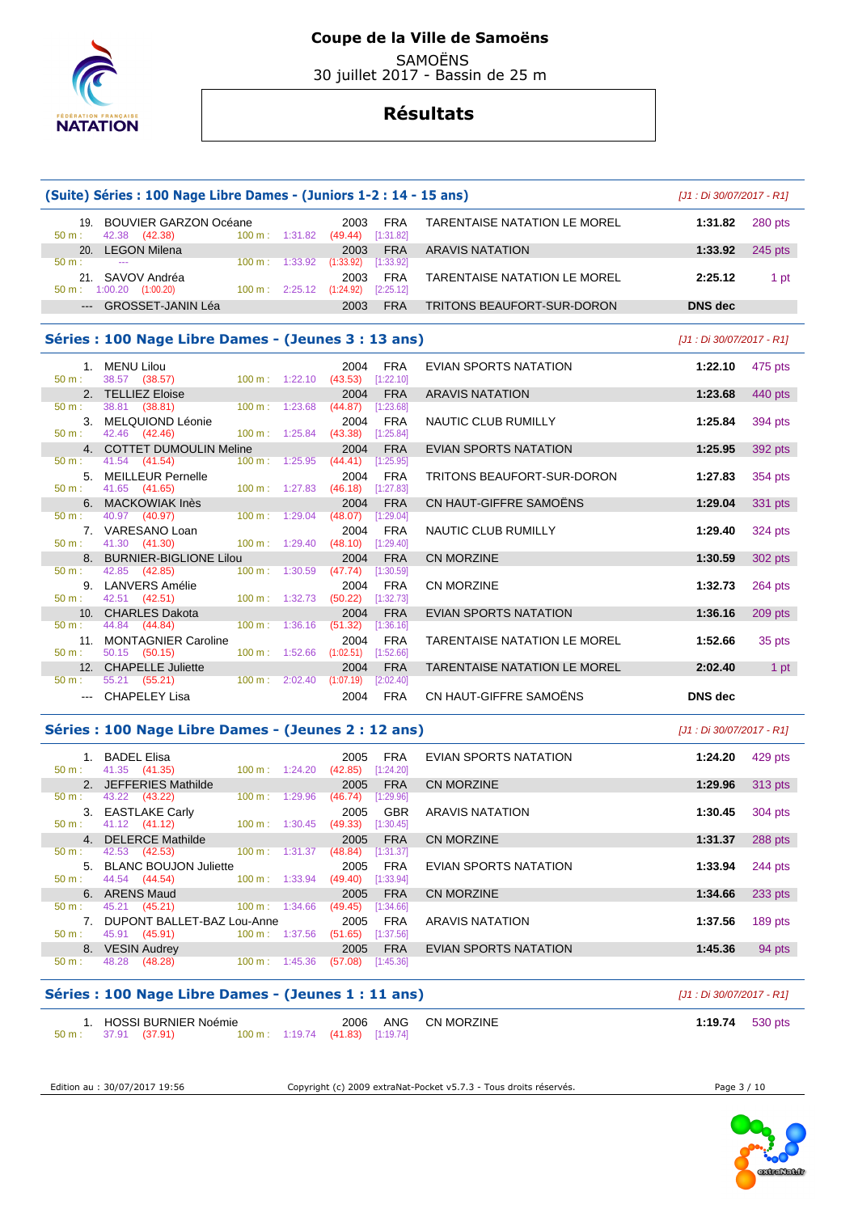

 SAMOËNS 30 juillet 2017 - Bassin de 25 m

# **Résultats**

| 19. BOUVIER GARZON Océane<br>TARENTAISE NATATION LE MOREL<br>1:31.82<br>2003<br>FRA<br>280 pts<br>42.38 (42.38)<br>100 m: 1:31.82 (49.44) [1:31.82]<br>$50 m$ :<br>20. LEGON Milena<br>1:33.92<br>2003<br><b>FRA</b><br><b>ARAVIS NATATION</b><br>$245$ pts<br>100 m: 1:33.92 (1:33.92) [1:33.92]<br>50 m:<br>$\sim$ $\sim$<br>21. SAVOV Andréa<br>2003<br><b>FRA</b><br><b>TARENTAISE NATATION LE MOREL</b><br>2:25.12<br>1 pt<br>$50 \text{ m}: 1:00.20$ $(1:00.20)$<br>$100 \text{ m}: 2:25.12 (1:24.92)$<br>[2:25.12]<br>--- GROSSET-JANIN Léa<br><b>DNS</b> dec<br>2003<br><b>FRA</b><br>TRITONS BEAUFORT-SUR-DORON<br>Séries : 100 Nage Libre Dames - (Jeunes 3 : 13 ans)<br>[J1 : Di 30/07/2017 - R1]<br>1. MENU Lilou<br><b>FRA</b><br>2004<br>EVIAN SPORTS NATATION<br>1:22.10<br>475 pts<br>38.57 (38.57)<br>100 m: 1:22.10 (43.53) [1:22.10]<br>50 m:<br>2. TELLIEZ Eloise<br><b>FRA</b><br><b>ARAVIS NATATION</b><br>1:23.68<br>440 pts<br>2004<br>38.81 (38.81)<br>[1:23.68]<br>50 m:<br>100 m: 1:23.68<br>(44.87)<br>3. MELQUIOND Léonie<br>1:25.84<br>394 pts<br>2004<br>FRA<br>NAUTIC CLUB RUMILLY<br>42.46 (42.46)<br>$100 \text{ m}: 1:25.84$ (43.38)<br>50 m:<br>[1:25.84]<br>4. COTTET DUMOULIN Meline<br><b>FRA</b><br>EVIAN SPORTS NATATION<br>1:25.95<br>2004<br>392 pts<br>100 m: 1:25.95<br>50 m:<br>41.54 (41.54)<br>$(44.41)$ [1:25.95]<br>5. MEILLEUR Pernelle<br><b>FRA</b><br>TRITONS BEAUFORT-SUR-DORON<br>1:27.83<br>354 pts<br>2004<br>41.65 (41.65)<br>100 m: 1:27.83<br>$(46.18)$ [1:27.83]<br>50 m:<br>6. MACKOWIAK Inès<br><b>FRA</b><br>CN HAUT-GIFFRE SAMOËNS<br>1:29.04<br>2004<br>331 pts<br>50 m:<br>40.97 (40.97)<br>$100 \text{ m}: 1:29.04$<br>$(48.07)$ [1:29.04]<br>7. VARESANO Loan<br>2004<br>FRA<br>NAUTIC CLUB RUMILLY<br>1:29.40<br>324 pts<br>41.30 (41.30)<br>$100 \text{ m}: 1:29.40$<br>$(48.10)$ [1:29.40]<br>50 m:<br>8. BURNIER-BIGLIONE Lilou<br><b>FRA</b><br><b>CN MORZINE</b><br>1:30.59<br>302 pts<br>2004<br>42.85<br>100 m: 1:30.59<br>50 m:<br>(42.85)<br>(47.74)<br>[1:30.59]<br>9. LANVERS Amélie<br><b>FRA</b><br><b>CN MORZINE</b><br>1:32.73<br>264 pts<br>2004<br>100 m: 1:32.73<br>50 m:<br>42.51 (42.51)<br>(50.22)<br>$[1:32.73]$<br>1:36.16<br>10. CHARLES Dakota<br>2004<br><b>FRA</b><br>EVIAN SPORTS NATATION<br>$209$ pts<br>44.84 (44.84)<br>(51.32)<br>50 m:<br>$100 \text{ m}: 1:36.16$<br>$[1:36.16]$<br>11. MONTAGNIER Caroline<br>2004<br><b>FRA</b><br>1:52.66<br>TARENTAISE NATATION LE MOREL<br>35 pts<br>100 m: 1:52.66<br>$50 m$ :<br>50.15 (50.15)<br>$(1:02.51)$ $[1:52.66]$<br>12. CHAPELLE Juliette<br><b>FRA</b><br><b>TARENTAISE NATATION LE MOREL</b><br>2:02.40<br>2004<br>1 pt<br>55.21 (55.21)<br>100 m : 2:02.40 (1:07.19) [2:02.40]<br>50 m:<br>CN HAUT-GIFFRE SAMOËNS<br>--- CHAPELEY Lisa<br><b>FRA</b><br><b>DNS</b> dec<br>2004<br>Séries : 100 Nage Libre Dames - (Jeunes 2 : 12 ans)<br>$[J1:Di 30/07/2017 - R1]$<br>1. BADEL Elisa<br><b>FRA</b><br>EVIAN SPORTS NATATION<br>2005<br>1:24.20<br>429 pts<br>41.35 (41.35)<br>100 m: 1:24.20<br>(42.85)<br>[1:24.20]<br>50 m:<br>2. JEFFERIES Mathilde<br><b>FRA</b><br><b>CN MORZINE</b><br>2005<br>1:29.96<br>$313$ pts<br>43.22 (43.22)<br>50 m:<br>$100 \text{ m}: 1:29.96$<br>$(46.74)$ [1:29.96]<br>3. EASTLAKE Carly<br><b>GBR</b><br><b>ARAVIS NATATION</b><br>2005<br>1:30.45<br>304 pts<br>50 m:<br>41.12 (41.12)<br>100 m : $1:30.45$ (49.33) [1:30.45]<br>4. DELERCE Mathilde<br><b>CN MORZINE</b><br>1:31.37<br>2005<br><b>FRA</b><br>288 pts<br>[1:31.37]<br>42.53 (42.53)<br>$100 \text{ m}: 1:31.37$ (48.84)<br>50 m:<br>5. BLANC BOUJON Juliette<br>2005<br><b>FRA</b><br>1:33.94<br>244 pts<br>EVIAN SPORTS NATATION<br>44.54 (44.54)<br>100 m: 1:33.94<br>$(49.40)$ [1:33.94]<br>50 m:<br>6. ARENS Maud<br>1:34.66<br>2005<br><b>FRA</b><br><b>CN MORZINE</b><br>233 pts<br>45.21 (45.21)<br>50 m:<br>$100 \text{ m}: 1:34.66$<br>(49.45)<br>[1:34.66]<br>7. DUPONT BALLET-BAZ Lou-Anne<br>1:37.56<br>2005<br><b>FRA</b><br><b>ARAVIS NATATION</b><br>189 pts<br>45.91 (45.91)<br>100 m: 1:37.56<br>$[1:37.56]$<br>50 m:<br>(51.65)<br>8. VESIN Audrey<br>1:45.36<br>2005<br><b>FRA</b><br>EVIAN SPORTS NATATION<br>94 pts<br>48.28<br>(48.28)<br>(57.08)<br>50 m:<br>$100 \text{ m}: 1:45.36$<br>[1:45.36]<br>Séries : 100 Nage Libre Dames - (Jeunes 1 : 11 ans)<br>[J1 : Di 30/07/2017 - R1] | (Suite) Séries : 100 Nage Libre Dames - (Juniors 1-2 : 14 - 15 ans) |  |  | [J1 : Di 30/07/2017 - R1] |  |
|---------------------------------------------------------------------------------------------------------------------------------------------------------------------------------------------------------------------------------------------------------------------------------------------------------------------------------------------------------------------------------------------------------------------------------------------------------------------------------------------------------------------------------------------------------------------------------------------------------------------------------------------------------------------------------------------------------------------------------------------------------------------------------------------------------------------------------------------------------------------------------------------------------------------------------------------------------------------------------------------------------------------------------------------------------------------------------------------------------------------------------------------------------------------------------------------------------------------------------------------------------------------------------------------------------------------------------------------------------------------------------------------------------------------------------------------------------------------------------------------------------------------------------------------------------------------------------------------------------------------------------------------------------------------------------------------------------------------------------------------------------------------------------------------------------------------------------------------------------------------------------------------------------------------------------------------------------------------------------------------------------------------------------------------------------------------------------------------------------------------------------------------------------------------------------------------------------------------------------------------------------------------------------------------------------------------------------------------------------------------------------------------------------------------------------------------------------------------------------------------------------------------------------------------------------------------------------------------------------------------------------------------------------------------------------------------------------------------------------------------------------------------------------------------------------------------------------------------------------------------------------------------------------------------------------------------------------------------------------------------------------------------------------------------------------------------------------------------------------------------------------------------------------------------------------------------------------------------------------------------------------------------------------------------------------------------------------------------------------------------------------------------------------------------------------------------------------------------------------------------------------------------------------------------------------------------------------------------------------------------------------------------------------------------------------------------------------------------------------------------------------------------------------------------------------------------------------------------------------------------------------------------------------------------------------------------------------------------------------------------------------------------------------------------------------------------------------------------------------------------------------------------------------------------------------------------------------------------------------------------------------------------------------------------------------------------------------------------------------------------------------|---------------------------------------------------------------------|--|--|---------------------------|--|
|                                                                                                                                                                                                                                                                                                                                                                                                                                                                                                                                                                                                                                                                                                                                                                                                                                                                                                                                                                                                                                                                                                                                                                                                                                                                                                                                                                                                                                                                                                                                                                                                                                                                                                                                                                                                                                                                                                                                                                                                                                                                                                                                                                                                                                                                                                                                                                                                                                                                                                                                                                                                                                                                                                                                                                                                                                                                                                                                                                                                                                                                                                                                                                                                                                                                                                                                                                                                                                                                                                                                                                                                                                                                                                                                                                                                                                                                                                                                                                                                                                                                                                                                                                                                                                                                                                                                                                                 |                                                                     |  |  |                           |  |
|                                                                                                                                                                                                                                                                                                                                                                                                                                                                                                                                                                                                                                                                                                                                                                                                                                                                                                                                                                                                                                                                                                                                                                                                                                                                                                                                                                                                                                                                                                                                                                                                                                                                                                                                                                                                                                                                                                                                                                                                                                                                                                                                                                                                                                                                                                                                                                                                                                                                                                                                                                                                                                                                                                                                                                                                                                                                                                                                                                                                                                                                                                                                                                                                                                                                                                                                                                                                                                                                                                                                                                                                                                                                                                                                                                                                                                                                                                                                                                                                                                                                                                                                                                                                                                                                                                                                                                                 |                                                                     |  |  |                           |  |
|                                                                                                                                                                                                                                                                                                                                                                                                                                                                                                                                                                                                                                                                                                                                                                                                                                                                                                                                                                                                                                                                                                                                                                                                                                                                                                                                                                                                                                                                                                                                                                                                                                                                                                                                                                                                                                                                                                                                                                                                                                                                                                                                                                                                                                                                                                                                                                                                                                                                                                                                                                                                                                                                                                                                                                                                                                                                                                                                                                                                                                                                                                                                                                                                                                                                                                                                                                                                                                                                                                                                                                                                                                                                                                                                                                                                                                                                                                                                                                                                                                                                                                                                                                                                                                                                                                                                                                                 |                                                                     |  |  |                           |  |
|                                                                                                                                                                                                                                                                                                                                                                                                                                                                                                                                                                                                                                                                                                                                                                                                                                                                                                                                                                                                                                                                                                                                                                                                                                                                                                                                                                                                                                                                                                                                                                                                                                                                                                                                                                                                                                                                                                                                                                                                                                                                                                                                                                                                                                                                                                                                                                                                                                                                                                                                                                                                                                                                                                                                                                                                                                                                                                                                                                                                                                                                                                                                                                                                                                                                                                                                                                                                                                                                                                                                                                                                                                                                                                                                                                                                                                                                                                                                                                                                                                                                                                                                                                                                                                                                                                                                                                                 |                                                                     |  |  |                           |  |
|                                                                                                                                                                                                                                                                                                                                                                                                                                                                                                                                                                                                                                                                                                                                                                                                                                                                                                                                                                                                                                                                                                                                                                                                                                                                                                                                                                                                                                                                                                                                                                                                                                                                                                                                                                                                                                                                                                                                                                                                                                                                                                                                                                                                                                                                                                                                                                                                                                                                                                                                                                                                                                                                                                                                                                                                                                                                                                                                                                                                                                                                                                                                                                                                                                                                                                                                                                                                                                                                                                                                                                                                                                                                                                                                                                                                                                                                                                                                                                                                                                                                                                                                                                                                                                                                                                                                                                                 |                                                                     |  |  |                           |  |
|                                                                                                                                                                                                                                                                                                                                                                                                                                                                                                                                                                                                                                                                                                                                                                                                                                                                                                                                                                                                                                                                                                                                                                                                                                                                                                                                                                                                                                                                                                                                                                                                                                                                                                                                                                                                                                                                                                                                                                                                                                                                                                                                                                                                                                                                                                                                                                                                                                                                                                                                                                                                                                                                                                                                                                                                                                                                                                                                                                                                                                                                                                                                                                                                                                                                                                                                                                                                                                                                                                                                                                                                                                                                                                                                                                                                                                                                                                                                                                                                                                                                                                                                                                                                                                                                                                                                                                                 |                                                                     |  |  |                           |  |
|                                                                                                                                                                                                                                                                                                                                                                                                                                                                                                                                                                                                                                                                                                                                                                                                                                                                                                                                                                                                                                                                                                                                                                                                                                                                                                                                                                                                                                                                                                                                                                                                                                                                                                                                                                                                                                                                                                                                                                                                                                                                                                                                                                                                                                                                                                                                                                                                                                                                                                                                                                                                                                                                                                                                                                                                                                                                                                                                                                                                                                                                                                                                                                                                                                                                                                                                                                                                                                                                                                                                                                                                                                                                                                                                                                                                                                                                                                                                                                                                                                                                                                                                                                                                                                                                                                                                                                                 |                                                                     |  |  |                           |  |
|                                                                                                                                                                                                                                                                                                                                                                                                                                                                                                                                                                                                                                                                                                                                                                                                                                                                                                                                                                                                                                                                                                                                                                                                                                                                                                                                                                                                                                                                                                                                                                                                                                                                                                                                                                                                                                                                                                                                                                                                                                                                                                                                                                                                                                                                                                                                                                                                                                                                                                                                                                                                                                                                                                                                                                                                                                                                                                                                                                                                                                                                                                                                                                                                                                                                                                                                                                                                                                                                                                                                                                                                                                                                                                                                                                                                                                                                                                                                                                                                                                                                                                                                                                                                                                                                                                                                                                                 |                                                                     |  |  |                           |  |
|                                                                                                                                                                                                                                                                                                                                                                                                                                                                                                                                                                                                                                                                                                                                                                                                                                                                                                                                                                                                                                                                                                                                                                                                                                                                                                                                                                                                                                                                                                                                                                                                                                                                                                                                                                                                                                                                                                                                                                                                                                                                                                                                                                                                                                                                                                                                                                                                                                                                                                                                                                                                                                                                                                                                                                                                                                                                                                                                                                                                                                                                                                                                                                                                                                                                                                                                                                                                                                                                                                                                                                                                                                                                                                                                                                                                                                                                                                                                                                                                                                                                                                                                                                                                                                                                                                                                                                                 |                                                                     |  |  |                           |  |
|                                                                                                                                                                                                                                                                                                                                                                                                                                                                                                                                                                                                                                                                                                                                                                                                                                                                                                                                                                                                                                                                                                                                                                                                                                                                                                                                                                                                                                                                                                                                                                                                                                                                                                                                                                                                                                                                                                                                                                                                                                                                                                                                                                                                                                                                                                                                                                                                                                                                                                                                                                                                                                                                                                                                                                                                                                                                                                                                                                                                                                                                                                                                                                                                                                                                                                                                                                                                                                                                                                                                                                                                                                                                                                                                                                                                                                                                                                                                                                                                                                                                                                                                                                                                                                                                                                                                                                                 |                                                                     |  |  |                           |  |
|                                                                                                                                                                                                                                                                                                                                                                                                                                                                                                                                                                                                                                                                                                                                                                                                                                                                                                                                                                                                                                                                                                                                                                                                                                                                                                                                                                                                                                                                                                                                                                                                                                                                                                                                                                                                                                                                                                                                                                                                                                                                                                                                                                                                                                                                                                                                                                                                                                                                                                                                                                                                                                                                                                                                                                                                                                                                                                                                                                                                                                                                                                                                                                                                                                                                                                                                                                                                                                                                                                                                                                                                                                                                                                                                                                                                                                                                                                                                                                                                                                                                                                                                                                                                                                                                                                                                                                                 |                                                                     |  |  |                           |  |
|                                                                                                                                                                                                                                                                                                                                                                                                                                                                                                                                                                                                                                                                                                                                                                                                                                                                                                                                                                                                                                                                                                                                                                                                                                                                                                                                                                                                                                                                                                                                                                                                                                                                                                                                                                                                                                                                                                                                                                                                                                                                                                                                                                                                                                                                                                                                                                                                                                                                                                                                                                                                                                                                                                                                                                                                                                                                                                                                                                                                                                                                                                                                                                                                                                                                                                                                                                                                                                                                                                                                                                                                                                                                                                                                                                                                                                                                                                                                                                                                                                                                                                                                                                                                                                                                                                                                                                                 |                                                                     |  |  |                           |  |
|                                                                                                                                                                                                                                                                                                                                                                                                                                                                                                                                                                                                                                                                                                                                                                                                                                                                                                                                                                                                                                                                                                                                                                                                                                                                                                                                                                                                                                                                                                                                                                                                                                                                                                                                                                                                                                                                                                                                                                                                                                                                                                                                                                                                                                                                                                                                                                                                                                                                                                                                                                                                                                                                                                                                                                                                                                                                                                                                                                                                                                                                                                                                                                                                                                                                                                                                                                                                                                                                                                                                                                                                                                                                                                                                                                                                                                                                                                                                                                                                                                                                                                                                                                                                                                                                                                                                                                                 |                                                                     |  |  |                           |  |
|                                                                                                                                                                                                                                                                                                                                                                                                                                                                                                                                                                                                                                                                                                                                                                                                                                                                                                                                                                                                                                                                                                                                                                                                                                                                                                                                                                                                                                                                                                                                                                                                                                                                                                                                                                                                                                                                                                                                                                                                                                                                                                                                                                                                                                                                                                                                                                                                                                                                                                                                                                                                                                                                                                                                                                                                                                                                                                                                                                                                                                                                                                                                                                                                                                                                                                                                                                                                                                                                                                                                                                                                                                                                                                                                                                                                                                                                                                                                                                                                                                                                                                                                                                                                                                                                                                                                                                                 |                                                                     |  |  |                           |  |
|                                                                                                                                                                                                                                                                                                                                                                                                                                                                                                                                                                                                                                                                                                                                                                                                                                                                                                                                                                                                                                                                                                                                                                                                                                                                                                                                                                                                                                                                                                                                                                                                                                                                                                                                                                                                                                                                                                                                                                                                                                                                                                                                                                                                                                                                                                                                                                                                                                                                                                                                                                                                                                                                                                                                                                                                                                                                                                                                                                                                                                                                                                                                                                                                                                                                                                                                                                                                                                                                                                                                                                                                                                                                                                                                                                                                                                                                                                                                                                                                                                                                                                                                                                                                                                                                                                                                                                                 |                                                                     |  |  |                           |  |
|                                                                                                                                                                                                                                                                                                                                                                                                                                                                                                                                                                                                                                                                                                                                                                                                                                                                                                                                                                                                                                                                                                                                                                                                                                                                                                                                                                                                                                                                                                                                                                                                                                                                                                                                                                                                                                                                                                                                                                                                                                                                                                                                                                                                                                                                                                                                                                                                                                                                                                                                                                                                                                                                                                                                                                                                                                                                                                                                                                                                                                                                                                                                                                                                                                                                                                                                                                                                                                                                                                                                                                                                                                                                                                                                                                                                                                                                                                                                                                                                                                                                                                                                                                                                                                                                                                                                                                                 |                                                                     |  |  |                           |  |
|                                                                                                                                                                                                                                                                                                                                                                                                                                                                                                                                                                                                                                                                                                                                                                                                                                                                                                                                                                                                                                                                                                                                                                                                                                                                                                                                                                                                                                                                                                                                                                                                                                                                                                                                                                                                                                                                                                                                                                                                                                                                                                                                                                                                                                                                                                                                                                                                                                                                                                                                                                                                                                                                                                                                                                                                                                                                                                                                                                                                                                                                                                                                                                                                                                                                                                                                                                                                                                                                                                                                                                                                                                                                                                                                                                                                                                                                                                                                                                                                                                                                                                                                                                                                                                                                                                                                                                                 |                                                                     |  |  |                           |  |
|                                                                                                                                                                                                                                                                                                                                                                                                                                                                                                                                                                                                                                                                                                                                                                                                                                                                                                                                                                                                                                                                                                                                                                                                                                                                                                                                                                                                                                                                                                                                                                                                                                                                                                                                                                                                                                                                                                                                                                                                                                                                                                                                                                                                                                                                                                                                                                                                                                                                                                                                                                                                                                                                                                                                                                                                                                                                                                                                                                                                                                                                                                                                                                                                                                                                                                                                                                                                                                                                                                                                                                                                                                                                                                                                                                                                                                                                                                                                                                                                                                                                                                                                                                                                                                                                                                                                                                                 |                                                                     |  |  |                           |  |
|                                                                                                                                                                                                                                                                                                                                                                                                                                                                                                                                                                                                                                                                                                                                                                                                                                                                                                                                                                                                                                                                                                                                                                                                                                                                                                                                                                                                                                                                                                                                                                                                                                                                                                                                                                                                                                                                                                                                                                                                                                                                                                                                                                                                                                                                                                                                                                                                                                                                                                                                                                                                                                                                                                                                                                                                                                                                                                                                                                                                                                                                                                                                                                                                                                                                                                                                                                                                                                                                                                                                                                                                                                                                                                                                                                                                                                                                                                                                                                                                                                                                                                                                                                                                                                                                                                                                                                                 |                                                                     |  |  |                           |  |
|                                                                                                                                                                                                                                                                                                                                                                                                                                                                                                                                                                                                                                                                                                                                                                                                                                                                                                                                                                                                                                                                                                                                                                                                                                                                                                                                                                                                                                                                                                                                                                                                                                                                                                                                                                                                                                                                                                                                                                                                                                                                                                                                                                                                                                                                                                                                                                                                                                                                                                                                                                                                                                                                                                                                                                                                                                                                                                                                                                                                                                                                                                                                                                                                                                                                                                                                                                                                                                                                                                                                                                                                                                                                                                                                                                                                                                                                                                                                                                                                                                                                                                                                                                                                                                                                                                                                                                                 |                                                                     |  |  |                           |  |
|                                                                                                                                                                                                                                                                                                                                                                                                                                                                                                                                                                                                                                                                                                                                                                                                                                                                                                                                                                                                                                                                                                                                                                                                                                                                                                                                                                                                                                                                                                                                                                                                                                                                                                                                                                                                                                                                                                                                                                                                                                                                                                                                                                                                                                                                                                                                                                                                                                                                                                                                                                                                                                                                                                                                                                                                                                                                                                                                                                                                                                                                                                                                                                                                                                                                                                                                                                                                                                                                                                                                                                                                                                                                                                                                                                                                                                                                                                                                                                                                                                                                                                                                                                                                                                                                                                                                                                                 |                                                                     |  |  |                           |  |
|                                                                                                                                                                                                                                                                                                                                                                                                                                                                                                                                                                                                                                                                                                                                                                                                                                                                                                                                                                                                                                                                                                                                                                                                                                                                                                                                                                                                                                                                                                                                                                                                                                                                                                                                                                                                                                                                                                                                                                                                                                                                                                                                                                                                                                                                                                                                                                                                                                                                                                                                                                                                                                                                                                                                                                                                                                                                                                                                                                                                                                                                                                                                                                                                                                                                                                                                                                                                                                                                                                                                                                                                                                                                                                                                                                                                                                                                                                                                                                                                                                                                                                                                                                                                                                                                                                                                                                                 |                                                                     |  |  |                           |  |
|                                                                                                                                                                                                                                                                                                                                                                                                                                                                                                                                                                                                                                                                                                                                                                                                                                                                                                                                                                                                                                                                                                                                                                                                                                                                                                                                                                                                                                                                                                                                                                                                                                                                                                                                                                                                                                                                                                                                                                                                                                                                                                                                                                                                                                                                                                                                                                                                                                                                                                                                                                                                                                                                                                                                                                                                                                                                                                                                                                                                                                                                                                                                                                                                                                                                                                                                                                                                                                                                                                                                                                                                                                                                                                                                                                                                                                                                                                                                                                                                                                                                                                                                                                                                                                                                                                                                                                                 |                                                                     |  |  |                           |  |
|                                                                                                                                                                                                                                                                                                                                                                                                                                                                                                                                                                                                                                                                                                                                                                                                                                                                                                                                                                                                                                                                                                                                                                                                                                                                                                                                                                                                                                                                                                                                                                                                                                                                                                                                                                                                                                                                                                                                                                                                                                                                                                                                                                                                                                                                                                                                                                                                                                                                                                                                                                                                                                                                                                                                                                                                                                                                                                                                                                                                                                                                                                                                                                                                                                                                                                                                                                                                                                                                                                                                                                                                                                                                                                                                                                                                                                                                                                                                                                                                                                                                                                                                                                                                                                                                                                                                                                                 |                                                                     |  |  |                           |  |
|                                                                                                                                                                                                                                                                                                                                                                                                                                                                                                                                                                                                                                                                                                                                                                                                                                                                                                                                                                                                                                                                                                                                                                                                                                                                                                                                                                                                                                                                                                                                                                                                                                                                                                                                                                                                                                                                                                                                                                                                                                                                                                                                                                                                                                                                                                                                                                                                                                                                                                                                                                                                                                                                                                                                                                                                                                                                                                                                                                                                                                                                                                                                                                                                                                                                                                                                                                                                                                                                                                                                                                                                                                                                                                                                                                                                                                                                                                                                                                                                                                                                                                                                                                                                                                                                                                                                                                                 |                                                                     |  |  |                           |  |
|                                                                                                                                                                                                                                                                                                                                                                                                                                                                                                                                                                                                                                                                                                                                                                                                                                                                                                                                                                                                                                                                                                                                                                                                                                                                                                                                                                                                                                                                                                                                                                                                                                                                                                                                                                                                                                                                                                                                                                                                                                                                                                                                                                                                                                                                                                                                                                                                                                                                                                                                                                                                                                                                                                                                                                                                                                                                                                                                                                                                                                                                                                                                                                                                                                                                                                                                                                                                                                                                                                                                                                                                                                                                                                                                                                                                                                                                                                                                                                                                                                                                                                                                                                                                                                                                                                                                                                                 |                                                                     |  |  |                           |  |
|                                                                                                                                                                                                                                                                                                                                                                                                                                                                                                                                                                                                                                                                                                                                                                                                                                                                                                                                                                                                                                                                                                                                                                                                                                                                                                                                                                                                                                                                                                                                                                                                                                                                                                                                                                                                                                                                                                                                                                                                                                                                                                                                                                                                                                                                                                                                                                                                                                                                                                                                                                                                                                                                                                                                                                                                                                                                                                                                                                                                                                                                                                                                                                                                                                                                                                                                                                                                                                                                                                                                                                                                                                                                                                                                                                                                                                                                                                                                                                                                                                                                                                                                                                                                                                                                                                                                                                                 |                                                                     |  |  |                           |  |
|                                                                                                                                                                                                                                                                                                                                                                                                                                                                                                                                                                                                                                                                                                                                                                                                                                                                                                                                                                                                                                                                                                                                                                                                                                                                                                                                                                                                                                                                                                                                                                                                                                                                                                                                                                                                                                                                                                                                                                                                                                                                                                                                                                                                                                                                                                                                                                                                                                                                                                                                                                                                                                                                                                                                                                                                                                                                                                                                                                                                                                                                                                                                                                                                                                                                                                                                                                                                                                                                                                                                                                                                                                                                                                                                                                                                                                                                                                                                                                                                                                                                                                                                                                                                                                                                                                                                                                                 |                                                                     |  |  |                           |  |
|                                                                                                                                                                                                                                                                                                                                                                                                                                                                                                                                                                                                                                                                                                                                                                                                                                                                                                                                                                                                                                                                                                                                                                                                                                                                                                                                                                                                                                                                                                                                                                                                                                                                                                                                                                                                                                                                                                                                                                                                                                                                                                                                                                                                                                                                                                                                                                                                                                                                                                                                                                                                                                                                                                                                                                                                                                                                                                                                                                                                                                                                                                                                                                                                                                                                                                                                                                                                                                                                                                                                                                                                                                                                                                                                                                                                                                                                                                                                                                                                                                                                                                                                                                                                                                                                                                                                                                                 |                                                                     |  |  |                           |  |
|                                                                                                                                                                                                                                                                                                                                                                                                                                                                                                                                                                                                                                                                                                                                                                                                                                                                                                                                                                                                                                                                                                                                                                                                                                                                                                                                                                                                                                                                                                                                                                                                                                                                                                                                                                                                                                                                                                                                                                                                                                                                                                                                                                                                                                                                                                                                                                                                                                                                                                                                                                                                                                                                                                                                                                                                                                                                                                                                                                                                                                                                                                                                                                                                                                                                                                                                                                                                                                                                                                                                                                                                                                                                                                                                                                                                                                                                                                                                                                                                                                                                                                                                                                                                                                                                                                                                                                                 |                                                                     |  |  |                           |  |
|                                                                                                                                                                                                                                                                                                                                                                                                                                                                                                                                                                                                                                                                                                                                                                                                                                                                                                                                                                                                                                                                                                                                                                                                                                                                                                                                                                                                                                                                                                                                                                                                                                                                                                                                                                                                                                                                                                                                                                                                                                                                                                                                                                                                                                                                                                                                                                                                                                                                                                                                                                                                                                                                                                                                                                                                                                                                                                                                                                                                                                                                                                                                                                                                                                                                                                                                                                                                                                                                                                                                                                                                                                                                                                                                                                                                                                                                                                                                                                                                                                                                                                                                                                                                                                                                                                                                                                                 |                                                                     |  |  |                           |  |
|                                                                                                                                                                                                                                                                                                                                                                                                                                                                                                                                                                                                                                                                                                                                                                                                                                                                                                                                                                                                                                                                                                                                                                                                                                                                                                                                                                                                                                                                                                                                                                                                                                                                                                                                                                                                                                                                                                                                                                                                                                                                                                                                                                                                                                                                                                                                                                                                                                                                                                                                                                                                                                                                                                                                                                                                                                                                                                                                                                                                                                                                                                                                                                                                                                                                                                                                                                                                                                                                                                                                                                                                                                                                                                                                                                                                                                                                                                                                                                                                                                                                                                                                                                                                                                                                                                                                                                                 |                                                                     |  |  |                           |  |
|                                                                                                                                                                                                                                                                                                                                                                                                                                                                                                                                                                                                                                                                                                                                                                                                                                                                                                                                                                                                                                                                                                                                                                                                                                                                                                                                                                                                                                                                                                                                                                                                                                                                                                                                                                                                                                                                                                                                                                                                                                                                                                                                                                                                                                                                                                                                                                                                                                                                                                                                                                                                                                                                                                                                                                                                                                                                                                                                                                                                                                                                                                                                                                                                                                                                                                                                                                                                                                                                                                                                                                                                                                                                                                                                                                                                                                                                                                                                                                                                                                                                                                                                                                                                                                                                                                                                                                                 |                                                                     |  |  |                           |  |
|                                                                                                                                                                                                                                                                                                                                                                                                                                                                                                                                                                                                                                                                                                                                                                                                                                                                                                                                                                                                                                                                                                                                                                                                                                                                                                                                                                                                                                                                                                                                                                                                                                                                                                                                                                                                                                                                                                                                                                                                                                                                                                                                                                                                                                                                                                                                                                                                                                                                                                                                                                                                                                                                                                                                                                                                                                                                                                                                                                                                                                                                                                                                                                                                                                                                                                                                                                                                                                                                                                                                                                                                                                                                                                                                                                                                                                                                                                                                                                                                                                                                                                                                                                                                                                                                                                                                                                                 |                                                                     |  |  |                           |  |
|                                                                                                                                                                                                                                                                                                                                                                                                                                                                                                                                                                                                                                                                                                                                                                                                                                                                                                                                                                                                                                                                                                                                                                                                                                                                                                                                                                                                                                                                                                                                                                                                                                                                                                                                                                                                                                                                                                                                                                                                                                                                                                                                                                                                                                                                                                                                                                                                                                                                                                                                                                                                                                                                                                                                                                                                                                                                                                                                                                                                                                                                                                                                                                                                                                                                                                                                                                                                                                                                                                                                                                                                                                                                                                                                                                                                                                                                                                                                                                                                                                                                                                                                                                                                                                                                                                                                                                                 |                                                                     |  |  |                           |  |
|                                                                                                                                                                                                                                                                                                                                                                                                                                                                                                                                                                                                                                                                                                                                                                                                                                                                                                                                                                                                                                                                                                                                                                                                                                                                                                                                                                                                                                                                                                                                                                                                                                                                                                                                                                                                                                                                                                                                                                                                                                                                                                                                                                                                                                                                                                                                                                                                                                                                                                                                                                                                                                                                                                                                                                                                                                                                                                                                                                                                                                                                                                                                                                                                                                                                                                                                                                                                                                                                                                                                                                                                                                                                                                                                                                                                                                                                                                                                                                                                                                                                                                                                                                                                                                                                                                                                                                                 |                                                                     |  |  |                           |  |
|                                                                                                                                                                                                                                                                                                                                                                                                                                                                                                                                                                                                                                                                                                                                                                                                                                                                                                                                                                                                                                                                                                                                                                                                                                                                                                                                                                                                                                                                                                                                                                                                                                                                                                                                                                                                                                                                                                                                                                                                                                                                                                                                                                                                                                                                                                                                                                                                                                                                                                                                                                                                                                                                                                                                                                                                                                                                                                                                                                                                                                                                                                                                                                                                                                                                                                                                                                                                                                                                                                                                                                                                                                                                                                                                                                                                                                                                                                                                                                                                                                                                                                                                                                                                                                                                                                                                                                                 |                                                                     |  |  |                           |  |
|                                                                                                                                                                                                                                                                                                                                                                                                                                                                                                                                                                                                                                                                                                                                                                                                                                                                                                                                                                                                                                                                                                                                                                                                                                                                                                                                                                                                                                                                                                                                                                                                                                                                                                                                                                                                                                                                                                                                                                                                                                                                                                                                                                                                                                                                                                                                                                                                                                                                                                                                                                                                                                                                                                                                                                                                                                                                                                                                                                                                                                                                                                                                                                                                                                                                                                                                                                                                                                                                                                                                                                                                                                                                                                                                                                                                                                                                                                                                                                                                                                                                                                                                                                                                                                                                                                                                                                                 |                                                                     |  |  |                           |  |
|                                                                                                                                                                                                                                                                                                                                                                                                                                                                                                                                                                                                                                                                                                                                                                                                                                                                                                                                                                                                                                                                                                                                                                                                                                                                                                                                                                                                                                                                                                                                                                                                                                                                                                                                                                                                                                                                                                                                                                                                                                                                                                                                                                                                                                                                                                                                                                                                                                                                                                                                                                                                                                                                                                                                                                                                                                                                                                                                                                                                                                                                                                                                                                                                                                                                                                                                                                                                                                                                                                                                                                                                                                                                                                                                                                                                                                                                                                                                                                                                                                                                                                                                                                                                                                                                                                                                                                                 |                                                                     |  |  |                           |  |
|                                                                                                                                                                                                                                                                                                                                                                                                                                                                                                                                                                                                                                                                                                                                                                                                                                                                                                                                                                                                                                                                                                                                                                                                                                                                                                                                                                                                                                                                                                                                                                                                                                                                                                                                                                                                                                                                                                                                                                                                                                                                                                                                                                                                                                                                                                                                                                                                                                                                                                                                                                                                                                                                                                                                                                                                                                                                                                                                                                                                                                                                                                                                                                                                                                                                                                                                                                                                                                                                                                                                                                                                                                                                                                                                                                                                                                                                                                                                                                                                                                                                                                                                                                                                                                                                                                                                                                                 |                                                                     |  |  |                           |  |
|                                                                                                                                                                                                                                                                                                                                                                                                                                                                                                                                                                                                                                                                                                                                                                                                                                                                                                                                                                                                                                                                                                                                                                                                                                                                                                                                                                                                                                                                                                                                                                                                                                                                                                                                                                                                                                                                                                                                                                                                                                                                                                                                                                                                                                                                                                                                                                                                                                                                                                                                                                                                                                                                                                                                                                                                                                                                                                                                                                                                                                                                                                                                                                                                                                                                                                                                                                                                                                                                                                                                                                                                                                                                                                                                                                                                                                                                                                                                                                                                                                                                                                                                                                                                                                                                                                                                                                                 |                                                                     |  |  |                           |  |
|                                                                                                                                                                                                                                                                                                                                                                                                                                                                                                                                                                                                                                                                                                                                                                                                                                                                                                                                                                                                                                                                                                                                                                                                                                                                                                                                                                                                                                                                                                                                                                                                                                                                                                                                                                                                                                                                                                                                                                                                                                                                                                                                                                                                                                                                                                                                                                                                                                                                                                                                                                                                                                                                                                                                                                                                                                                                                                                                                                                                                                                                                                                                                                                                                                                                                                                                                                                                                                                                                                                                                                                                                                                                                                                                                                                                                                                                                                                                                                                                                                                                                                                                                                                                                                                                                                                                                                                 |                                                                     |  |  |                           |  |
|                                                                                                                                                                                                                                                                                                                                                                                                                                                                                                                                                                                                                                                                                                                                                                                                                                                                                                                                                                                                                                                                                                                                                                                                                                                                                                                                                                                                                                                                                                                                                                                                                                                                                                                                                                                                                                                                                                                                                                                                                                                                                                                                                                                                                                                                                                                                                                                                                                                                                                                                                                                                                                                                                                                                                                                                                                                                                                                                                                                                                                                                                                                                                                                                                                                                                                                                                                                                                                                                                                                                                                                                                                                                                                                                                                                                                                                                                                                                                                                                                                                                                                                                                                                                                                                                                                                                                                                 |                                                                     |  |  |                           |  |
|                                                                                                                                                                                                                                                                                                                                                                                                                                                                                                                                                                                                                                                                                                                                                                                                                                                                                                                                                                                                                                                                                                                                                                                                                                                                                                                                                                                                                                                                                                                                                                                                                                                                                                                                                                                                                                                                                                                                                                                                                                                                                                                                                                                                                                                                                                                                                                                                                                                                                                                                                                                                                                                                                                                                                                                                                                                                                                                                                                                                                                                                                                                                                                                                                                                                                                                                                                                                                                                                                                                                                                                                                                                                                                                                                                                                                                                                                                                                                                                                                                                                                                                                                                                                                                                                                                                                                                                 |                                                                     |  |  |                           |  |
|                                                                                                                                                                                                                                                                                                                                                                                                                                                                                                                                                                                                                                                                                                                                                                                                                                                                                                                                                                                                                                                                                                                                                                                                                                                                                                                                                                                                                                                                                                                                                                                                                                                                                                                                                                                                                                                                                                                                                                                                                                                                                                                                                                                                                                                                                                                                                                                                                                                                                                                                                                                                                                                                                                                                                                                                                                                                                                                                                                                                                                                                                                                                                                                                                                                                                                                                                                                                                                                                                                                                                                                                                                                                                                                                                                                                                                                                                                                                                                                                                                                                                                                                                                                                                                                                                                                                                                                 |                                                                     |  |  |                           |  |

|                      | 1. HOSSI BURNIER Noémie |  |                                  | 2006 ANG CN MORZINE | 1:19.74 530 pts |  |
|----------------------|-------------------------|--|----------------------------------|---------------------|-----------------|--|
| 50 m : 37.91 (37.91) |                         |  | 100 m: 1:19.74 (41.83) [1:19.74] |                     |                 |  |

Edition au : 30/07/2017 19:56 Copyright (c) 2009 extraNat-Pocket v5.7.3 - Tous droits réservés. Page 3 / 10

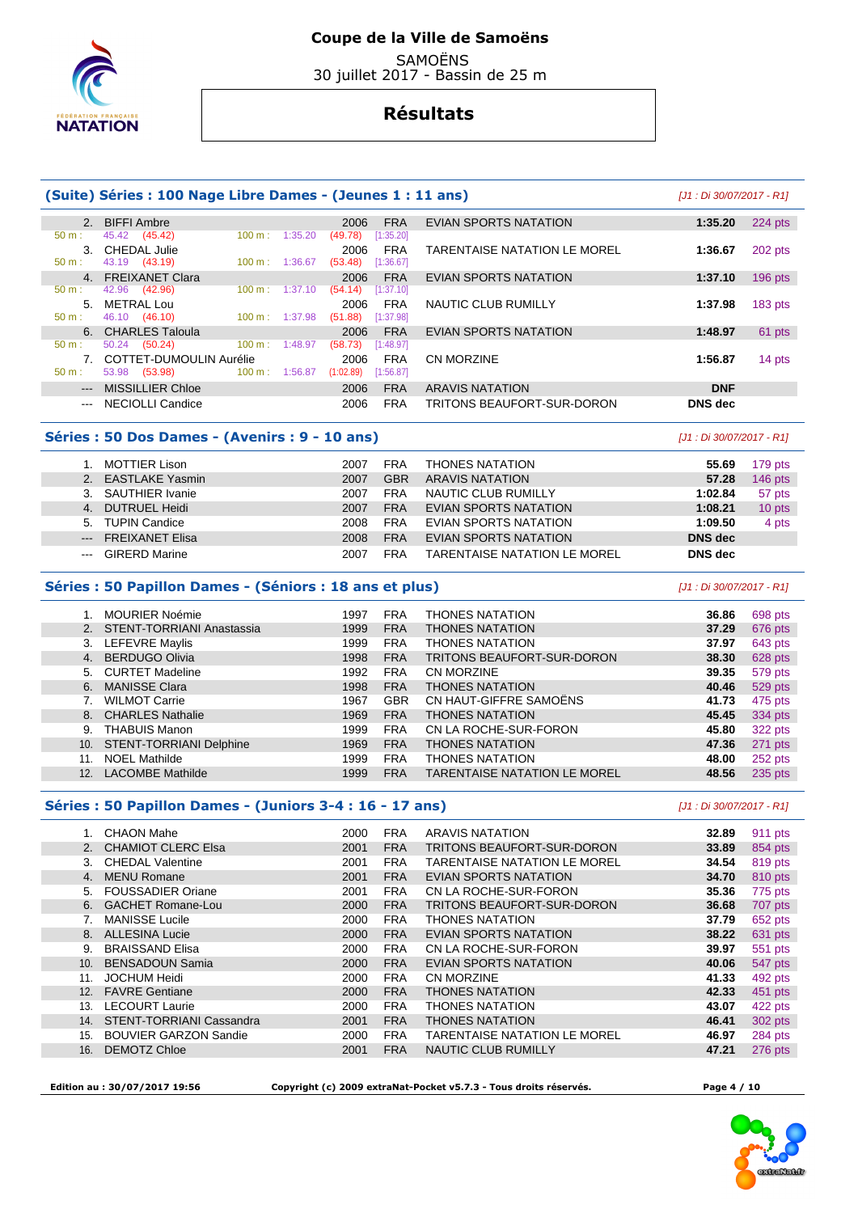

# **Coupe de la Ville de Samoëns**

 SAMOËNS 30 juillet 2017 - Bassin de 25 m

# **Résultats**

|                      | (Suite) Séries : 100 Nage Libre Dames - (Jeunes 1 : 11 ans)                                                             |                          |           |            |                              | [J1 : Di 30/07/2017 - R1] |                    |
|----------------------|-------------------------------------------------------------------------------------------------------------------------|--------------------------|-----------|------------|------------------------------|---------------------------|--------------------|
|                      | 2. BIFFI Ambre                                                                                                          |                          | 2006      | <b>FRA</b> | EVIAN SPORTS NATATION        | 1:35.20                   | $224$ pts          |
| 50 m:                | 45.42 (45.42)                                                                                                           | 100 m: 1:35.20           | (49.78)   | [1:35.20]  |                              |                           |                    |
|                      | 3. CHEDAL Julie                                                                                                         |                          | 2006      | <b>FRA</b> | TARENTAISE NATATION LE MOREL | 1:36.67                   | 202 pts            |
| $50 \text{ m}$ :     | 43.19 (43.19)                                                                                                           | 100 m: 1:36.67           | (53.48)   | [1:36.67]  |                              |                           |                    |
|                      | 4. FREIXANET Clara                                                                                                      |                          | 2006      | <b>FRA</b> | EVIAN SPORTS NATATION        | 1:37.10                   | $196$ pts          |
| 50 m:                | 42.96 (42.96)                                                                                                           | $100 \text{ m}: 1:37.10$ | (54.14)   | [1:37.10]  |                              |                           |                    |
|                      | 5. METRAL Lou                                                                                                           |                          | 2006      | <b>FRA</b> | NAUTIC CLUB RUMILLY          | 1:37.98                   | $183$ pts          |
| $50 \text{ m}$ :     | 46.10 (46.10)                                                                                                           | $100 \text{ m}: 1:37.98$ | (51.88)   | [1:37.98]  |                              |                           |                    |
|                      | 6. CHARLES Taloula                                                                                                      |                          | 2006      | <b>FRA</b> | EVIAN SPORTS NATATION        | 1:48.97                   | 61 pts             |
| 50 m:                | $50.24$ $(50.24)$                                                                                                       | $100 m$ : 1:48.97        | (58.73)   | [1:48.97]  |                              |                           |                    |
|                      | 7. COTTET-DUMOULIN Aurélie                                                                                              |                          | 2006      | <b>FRA</b> | CN MORZINE                   | 1:56.87                   | 14 pts             |
| $50 m$ :             | 53.98 (53.98)                                                                                                           | $100 \text{ m}: 1:56.87$ | (1:02.89) | [1:56.87]  |                              |                           |                    |
| $---$                | <b>MISSILLIER Chloe</b>                                                                                                 |                          | 2006      | <b>FRA</b> | <b>ARAVIS NATATION</b>       | <b>DNF</b>                |                    |
| $\sim$ $\sim$ $\sim$ | NECIOLLI Candice                                                                                                        |                          | 2006      | <b>FRA</b> | TRITONS BEAUFORT-SUR-DORON   | <b>DNS</b> dec            |                    |
|                      | Séries : 50 Dos Dames - (Avenirs : 9 - 10 ans)                                                                          |                          |           |            |                              | [J1 : Di 30/07/2017 - R1] |                    |
|                      | $\overline{A}$ $\overline{M}$ $\overline{C}$ $\overline{T}$ $\overline{L}$ $\overline{D}$ $\overline{L}$ $\overline{L}$ |                          | 0007      | <b>FDA</b> | THOMEO MATATION              | EE CO.                    | 470 <sub>nta</sub> |

| MOTTIER Lison       | 2007 | FRA        | <b>THONES NATATION</b>              | 55.69          | 179 pts   |
|---------------------|------|------------|-------------------------------------|----------------|-----------|
| 2. EASTLAKE Yasmin  | 2007 | <b>GBR</b> | <b>ARAVIS NATATION</b>              | 57.28          | $146$ pts |
| 3. SAUTHIER Ivanie  | 2007 | <b>FRA</b> | NAUTIC CLUB RUMILLY                 | 1:02.84        | 57 pts    |
| 4. DUTRUEL Heidi    | 2007 | <b>FRA</b> | EVIAN SPORTS NATATION               | 1:08.21        | 10 pts    |
| 5. TUPIN Candice    | 2008 | <b>FRA</b> | EVIAN SPORTS NATATION               | 1:09.50        | 4 pts     |
| --- FREIXANET Elisa | 2008 | <b>FRA</b> | EVIAN SPORTS NATATION               | <b>DNS</b> dec |           |
| --- GIRERD Marine   | 2007 | <b>FRA</b> | <b>TARENTAISE NATATION LE MOREL</b> | DNS dec        |           |

## **Séries : 50 Papillon Dames - (Séniors : 18 ans et plus)** [J1 : Di 30/07/2017 - R1]

|     | <b>MOURIER Noémie</b>        | 1997 | <b>FRA</b> | <b>THONES NATATION</b>              | 36.86 | 698 pts |
|-----|------------------------------|------|------------|-------------------------------------|-------|---------|
|     | 2. STENT-TORRIANI Anastassia | 1999 | <b>FRA</b> | <b>THONES NATATION</b>              | 37.29 | 676 pts |
|     | 3. LEFEVRE Maylis            | 1999 | <b>FRA</b> | <b>THONES NATATION</b>              | 37.97 | 643 pts |
| 4.  | <b>BERDUGO Olivia</b>        | 1998 | <b>FRA</b> | TRITONS BEAUFORT-SUR-DORON          | 38.30 | 628 pts |
|     | 5. CURTET Madeline           | 1992 | <b>FRA</b> | <b>CN MORZINE</b>                   | 39.35 | 579 pts |
|     | 6. MANISSE Clara             | 1998 | <b>FRA</b> | <b>THONES NATATION</b>              | 40.46 | 529 pts |
|     | <b>WILMOT Carrie</b>         | 1967 | <b>GBR</b> | CN HAUT-GIFFRE SAMOËNS              | 41.73 | 475 pts |
|     | 8. CHARLES Nathalie          | 1969 | <b>FRA</b> | <b>THONES NATATION</b>              | 45.45 | 334 pts |
| 9.  | <b>THABUIS Manon</b>         | 1999 | <b>FRA</b> | CN LA ROCHE-SUR-FORON               | 45.80 | 322 pts |
| 10. | STENT-TORRIANI Delphine      | 1969 | <b>FRA</b> | <b>THONES NATATION</b>              | 47.36 | 271 pts |
| 11. | <b>NOEL Mathilde</b>         | 1999 | <b>FRA</b> | <b>THONES NATATION</b>              | 48.00 | 252 pts |
| 12. | <b>LACOMBE Mathilde</b>      | 1999 | <b>FRA</b> | <b>TARENTAISE NATATION LE MOREL</b> | 48.56 | 235 pts |

## **Séries : 50 Papillon Dames - (Juniors 3-4 : 16 - 17 ans)** [J1 : Di 30/07/2017 - R1]

|     | CHAON Mahe                      | 2000 | <b>FRA</b> | ARAVIS NATATION                     | 32.89 | 911 pts |
|-----|---------------------------------|------|------------|-------------------------------------|-------|---------|
|     | 2. CHAMIOT CLERC Elsa           | 2001 | <b>FRA</b> | <b>TRITONS BEAUFORT-SUR-DORON</b>   | 33.89 | 854 pts |
|     |                                 |      |            |                                     |       |         |
| 3.  | <b>CHEDAL Valentine</b>         | 2001 | <b>FRA</b> | <b>TARENTAISE NATATION LE MOREL</b> | 34.54 | 819 pts |
| 4.  | <b>MENU Romane</b>              | 2001 | <b>FRA</b> | <b>EVIAN SPORTS NATATION</b>        | 34.70 | 810 pts |
| 5.  | <b>FOUSSADIER Oriane</b>        | 2001 | <b>FRA</b> | CN LA ROCHE-SUR-FORON               | 35.36 | 775 pts |
|     | 6. GACHET Romane-Lou            | 2000 | <b>FRA</b> | TRITONS BEAUFORT-SUR-DORON          | 36.68 | 707 pts |
|     | <b>MANISSE Lucile</b>           | 2000 | <b>FRA</b> | <b>THONES NATATION</b>              | 37.79 | 652 pts |
| 8.  | <b>ALLESINA Lucie</b>           | 2000 | <b>FRA</b> | <b>EVIAN SPORTS NATATION</b>        | 38.22 | 631 pts |
| 9.  | <b>BRAISSAND Elisa</b>          | 2000 | <b>FRA</b> | CN LA ROCHE-SUR-FORON               | 39.97 | 551 pts |
| 10. | <b>BENSADOUN Samia</b>          | 2000 | <b>FRA</b> | <b>EVIAN SPORTS NATATION</b>        | 40.06 | 547 pts |
| 11. | <b>JOCHUM Heidi</b>             | 2000 | <b>FRA</b> | <b>CN MORZINE</b>                   | 41.33 | 492 pts |
| 12. | <b>FAVRE Gentiane</b>           | 2000 | <b>FRA</b> | <b>THONES NATATION</b>              | 42.33 | 451 pts |
| 13. | <b>LECOURT Laurie</b>           | 2000 | <b>FRA</b> | <b>THONES NATATION</b>              | 43.07 | 422 pts |
| 14. | <b>STENT-TORRIANI Cassandra</b> | 2001 | <b>FRA</b> | <b>THONES NATATION</b>              | 46.41 | 302 pts |
| 15. | <b>BOUVIER GARZON Sandie</b>    | 2000 | <b>FRA</b> | <b>TARENTAISE NATATION LE MOREL</b> | 46.97 | 284 pts |
| 16. | <b>DEMOTZ Chloe</b>             | 2001 | <b>FRA</b> | <b>NAUTIC CLUB RUMILLY</b>          | 47.21 | 276 pts |
|     |                                 |      |            |                                     |       |         |

 **Edition au : 30/07/2017 19:56 Copyright (c) 2009 extraNat-Pocket v5.7.3 - Tous droits réservés. Page 4 / 10** 

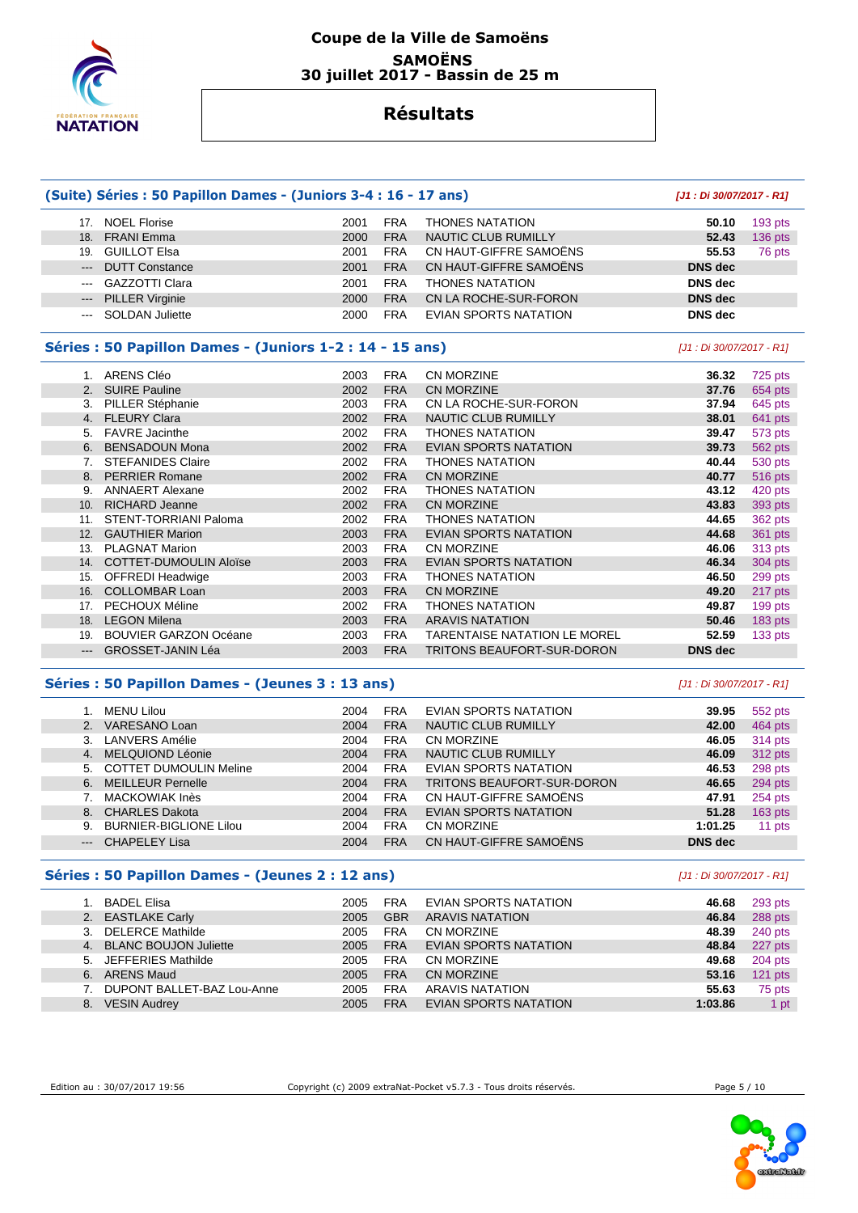

## **Coupe de la Ville de Samoëns SAMOËNS 30 juillet 2017 - Bassin de 25 m**

# **Résultats**

|                        | (Suite) Séries : 50 Papillon Dames - (Juniors 3-4 : 16 - 17 ans) |      |            |                                   | [J1: Di 30/07/2017 - R1]  |         |
|------------------------|------------------------------------------------------------------|------|------------|-----------------------------------|---------------------------|---------|
| 17.                    | <b>NOEL Florise</b>                                              | 2001 | <b>FRA</b> | <b>THONES NATATION</b>            | 50.10                     | 193 pts |
| 18.                    | <b>FRANI</b> Emma                                                | 2000 | <b>FRA</b> | <b>NAUTIC CLUB RUMILLY</b>        | 52.43                     | 136 pts |
| 19.                    | <b>GUILLOT Elsa</b>                                              | 2001 | <b>FRA</b> | CN HAUT-GIFFRE SAMOËNS            | 55.53                     | 76 pts  |
| $---$                  | <b>DUTT Constance</b>                                            | 2001 | <b>FRA</b> | CN HAUT-GIFFRE SAMOËNS            | <b>DNS</b> dec            |         |
| $---$                  | <b>GAZZOTTI Clara</b>                                            | 2001 | <b>FRA</b> | <b>THONES NATATION</b>            | <b>DNS</b> dec            |         |
| $\qquad \qquad \cdots$ | <b>PILLER Virginie</b>                                           | 2000 | <b>FRA</b> | CN LA ROCHE-SUR-FORON             | <b>DNS</b> dec            |         |
| $\cdots$               | <b>SOLDAN Juliette</b>                                           | 2000 | <b>FRA</b> | <b>EVIAN SPORTS NATATION</b>      | <b>DNS</b> dec            |         |
|                        | Séries : 50 Papillon Dames - (Juniors 1-2 : 14 - 15 ans)         |      |            |                                   | [J1 : Di 30/07/2017 - R1] |         |
|                        | 1. ARENS Cléo                                                    | 2003 | <b>FRA</b> | <b>CN MORZINE</b>                 | 36.32                     | 725 pts |
| 2.                     | <b>SUIRE Pauline</b>                                             | 2002 | <b>FRA</b> | <b>CN MORZINE</b>                 | 37.76                     | 654 pts |
|                        | 3. PILLER Stéphanie                                              | 2003 | <b>FRA</b> | CN LA ROCHE-SUR-FORON             | 37.94                     | 645 pts |
|                        | 4. FLEURY Clara                                                  | 2002 | <b>FRA</b> | <b>NAUTIC CLUB RUMILLY</b>        | 38.01                     | 641 pts |
| 5.                     | <b>FAVRE</b> Jacinthe                                            | 2002 | <b>FRA</b> | <b>THONES NATATION</b>            | 39.47                     | 573 pts |
|                        | 6. BENSADOUN Mona                                                | 2002 | <b>FRA</b> | <b>EVIAN SPORTS NATATION</b>      | 39.73                     | 562 pts |
| 7.                     | <b>STEFANIDES Claire</b>                                         | 2002 | <b>FRA</b> | <b>THONES NATATION</b>            | 40.44                     | 530 pts |
|                        | 8. PERRIER Romane                                                | 2002 | <b>FRA</b> | <b>CN MORZINE</b>                 | 40.77                     | 516 pts |
| 9.                     | <b>ANNAERT Alexane</b>                                           | 2002 | <b>FRA</b> | <b>THONES NATATION</b>            | 43.12                     | 420 pts |
| 10.                    | <b>RICHARD Jeanne</b>                                            | 2002 | <b>FRA</b> | <b>CN MORZINE</b>                 | 43.83                     | 393 pts |
| 11.                    | STENT-TORRIANI Paloma                                            | 2002 | <b>FRA</b> | <b>THONES NATATION</b>            | 44.65                     | 362 pts |
| 12.                    | <b>GAUTHIER Marion</b>                                           | 2003 | <b>FRA</b> | EVIAN SPORTS NATATION             | 44.68                     | 361 pts |
| 13.                    | <b>PLAGNAT Marion</b>                                            | 2003 | <b>FRA</b> | <b>CN MORZINE</b>                 | 46.06                     | 313 pts |
|                        | 14. COTTET-DUMOULIN Aloïse                                       | 2003 | <b>FRA</b> | <b>EVIAN SPORTS NATATION</b>      | 46.34                     | 304 pts |
| 15.                    | <b>OFFREDI Headwige</b>                                          | 2003 | <b>FRA</b> | <b>THONES NATATION</b>            | 46.50                     | 299 pts |
| 16.                    | <b>COLLOMBAR Loan</b>                                            | 2003 | <b>FRA</b> | CN MORZINE                        | 49.20                     | 217 pts |
| 17.                    | PECHOUX Méline                                                   | 2002 | <b>FRA</b> | <b>THONES NATATION</b>            | 49.87                     | 199 pts |
|                        | 18. LEGON Milena                                                 | 2003 | <b>FRA</b> | <b>ARAVIS NATATION</b>            | 50.46                     | 183 pts |
| 19.                    | <b>BOUVIER GARZON Océane</b>                                     | 2003 | <b>FRA</b> | TARENTAISE NATATION LE MOREL      | 52.59                     | 133 pts |
| ---                    | GROSSET-JANIN Léa                                                | 2003 | <b>FRA</b> | <b>TRITONS BEAUFORT-SUR-DORON</b> | <b>DNS</b> dec            |         |

#### **Séries : 50 Papillon Dames - (Jeunes 3 : 13 ans)** [J1 : Di 30/07/2017 - R1]

|                     | MENU Lilou                    | 2004 | <b>FRA</b> | EVIAN SPORTS NATATION             | 39.95          | 552 pts   |
|---------------------|-------------------------------|------|------------|-----------------------------------|----------------|-----------|
|                     | VARESANO Loan                 | 2004 | <b>FRA</b> | <b>NAUTIC CLUB RUMILLY</b>        | 42.00          | 464 pts   |
|                     | 3. LANVERS Amélie             | 2004 | <b>FRA</b> | CN MORZINE                        | 46.05          | 314 pts   |
| 4.                  | MELQUIOND Léonie              | 2004 | <b>FRA</b> | <b>NAUTIC CLUB RUMILLY</b>        | 46.09          | 312 pts   |
|                     | 5. COTTET DUMOULIN Meline     | 2004 | <b>FRA</b> | EVIAN SPORTS NATATION             | 46.53          | 298 pts   |
|                     | 6. MEILLEUR Pernelle          | 2004 | <b>FRA</b> | <b>TRITONS BEAUFORT-SUR-DORON</b> | 46.65          | 294 pts   |
|                     | <b>MACKOWIAK Inès</b>         | 2004 | <b>FRA</b> | CN HAUT-GIFFRE SAMOËNS            | 47.91          | 254 pts   |
|                     | 8. CHARLES Dakota             | 2004 | <b>FRA</b> | <b>EVIAN SPORTS NATATION</b>      | 51.28          | $163$ pts |
| 9.                  | <b>BURNIER-BIGLIONE Lilou</b> | 2004 | <b>FRA</b> | CN MORZINE                        | 1:01.25        | 11 pts    |
| $\qquad \qquad - -$ | <b>CHAPELEY Lisa</b>          | 2004 | <b>FRA</b> | CN HAUT-GIFFRE SAMOËNS            | <b>DNS</b> dec |           |

# **Séries : 50 Papillon Dames - (Jeunes 2 : 12 ans)** [J1 : Di 30/07/2017 - R1]

|    | <b>BADEL Elisa</b>         | 2005 | <b>FRA</b> | <b>EVIAN SPORTS NATATION</b> | 46.68   | 293 pts   |
|----|----------------------------|------|------------|------------------------------|---------|-----------|
|    | 2. EASTLAKE Carly          | 2005 | <b>GBR</b> | <b>ARAVIS NATATION</b>       | 46.84   | 288 pts   |
|    | 3. DELERCE Mathilde        | 2005 | <b>FRA</b> | CN MORZINE                   | 48.39   | 240 pts   |
|    | 4. BLANC BOUJON Juliette   | 2005 | <b>FRA</b> | <b>EVIAN SPORTS NATATION</b> | 48.84   | 227 pts   |
|    | 5. JEFFERIES Mathilde      | 2005 | <b>FRA</b> | CN MORZINE                   | 49.68   | 204 pts   |
|    | 6. ARENS Maud              | 2005 | <b>FRA</b> | CN MORZINE                   | 53.16   | $121$ pts |
|    | DUPONT BALLET-BAZ Lou-Anne | 2005 | <b>FRA</b> | ARAVIS NATATION              | 55.63   | 75 pts    |
| 8. | <b>VESIN Audrey</b>        | 2005 | <b>FRA</b> | EVIAN SPORTS NATATION        | 1:03.86 | 1 pt      |

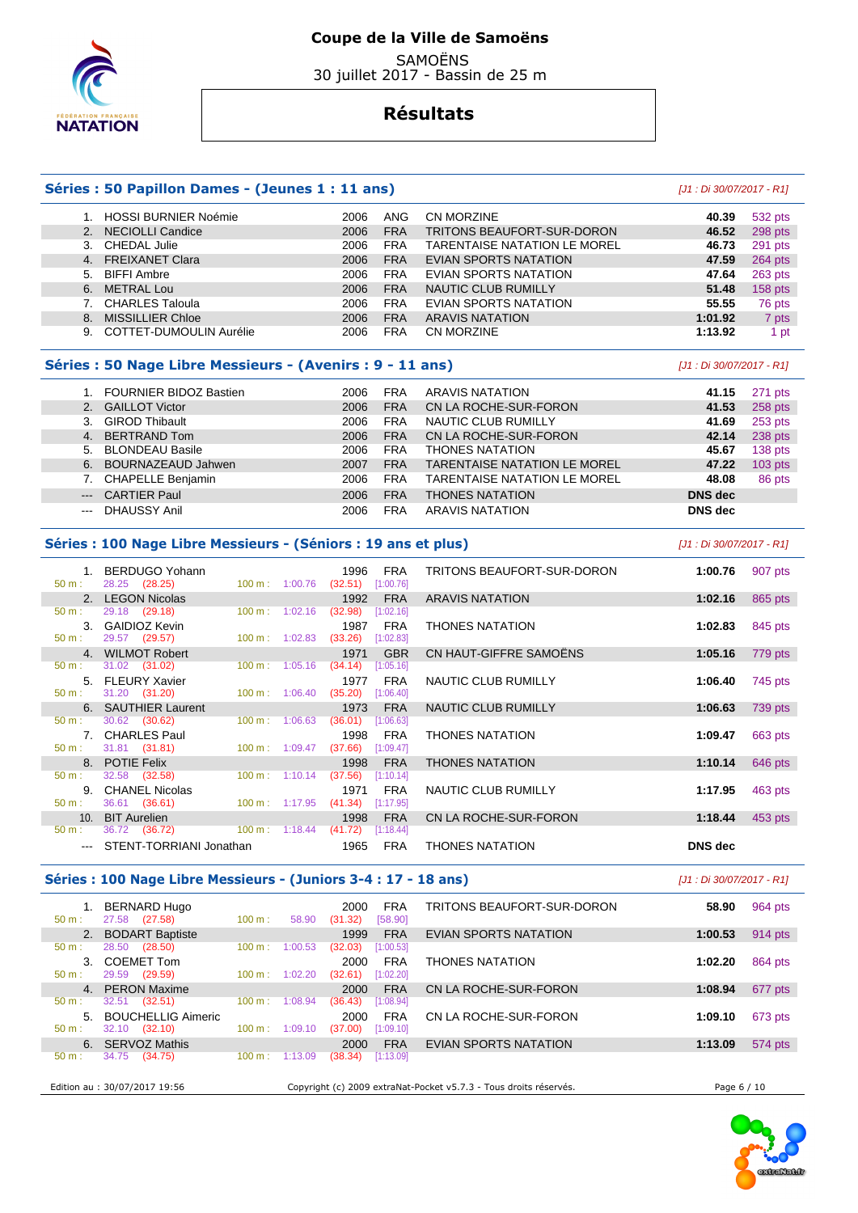

 SAMOËNS 30 juillet 2017 - Bassin de 25 m

# **Résultats**

#### **Séries : 50 Papillon Dames - (Jeunes 1 : 11 ans)** [J1 : Di 30/07/2017 - R1]

|    | 1. HOSSI BURNIER Noémie        | 2006 | ANG        | CN MORZINE                          | 40.39   | 532 pts        |
|----|--------------------------------|------|------------|-------------------------------------|---------|----------------|
|    | 2. NECIOLLI Candice            | 2006 | <b>FRA</b> | <b>TRITONS BEAUFORT-SUR-DORON</b>   | 46.52   | 298 pts        |
| 3. | CHEDAL Julie                   | 2006 | <b>FRA</b> | <b>TARENTAISE NATATION LE MOREL</b> | 46.73   | 291 pts        |
|    | 4. FREIXANET Clara             | 2006 | <b>FRA</b> | EVIAN SPORTS NATATION               | 47.59   | 264 pts        |
|    | 5. BIFFI Ambre                 | 2006 | <b>FRA</b> | EVIAN SPORTS NATATION               | 47.64   | 263 pts        |
| 6. | METRAL Lou                     | 2006 | <b>FRA</b> | NAUTIC CLUB RUMILLY                 | 51.48   | <b>158 pts</b> |
|    | <b>CHARLES Taloula</b>         | 2006 | <b>FRA</b> | EVIAN SPORTS NATATION               | 55.55   | 76 pts         |
| 8. | <b>MISSILLIER Chloe</b>        | 2006 | <b>FRA</b> | <b>ARAVIS NATATION</b>              | 1:01.92 | 7 pts          |
| 9. | <b>COTTET-DUMOULIN Aurélie</b> | 2006 | <b>FRA</b> | CN MORZINE                          | 1:13.92 | 1 pt           |

#### **Séries : 50 Nage Libre Messieurs - (Avenirs : 9 - 11 ans)** [J1 : Di 30/07/2017 - R1]

|                                                                                                                                                                                                                                                                                                                                                                                                                                                                            | 1. FOURNIER BIDOZ Bastien | 2006 | <b>FRA</b> | ARAVIS NATATION                     | 41.15          | 271 pts   |
|----------------------------------------------------------------------------------------------------------------------------------------------------------------------------------------------------------------------------------------------------------------------------------------------------------------------------------------------------------------------------------------------------------------------------------------------------------------------------|---------------------------|------|------------|-------------------------------------|----------------|-----------|
|                                                                                                                                                                                                                                                                                                                                                                                                                                                                            | 2. GAILLOT Victor         | 2006 | <b>FRA</b> | CN LA ROCHE-SUR-FORON               | 41.53          | 258 pts   |
|                                                                                                                                                                                                                                                                                                                                                                                                                                                                            | 3. GIROD Thibault         | 2006 | <b>FRA</b> | NAUTIC CLUB RUMILLY                 | 41.69          | 253 pts   |
|                                                                                                                                                                                                                                                                                                                                                                                                                                                                            | 4. BERTRAND Tom           | 2006 | <b>FRA</b> | CN LA ROCHE-SUR-FORON               | 42.14          | 238 pts   |
|                                                                                                                                                                                                                                                                                                                                                                                                                                                                            | 5. BLONDEAU Basile        | 2006 | <b>FRA</b> | <b>THONES NATATION</b>              | 45.67          | 138 pts   |
|                                                                                                                                                                                                                                                                                                                                                                                                                                                                            | 6. BOURNAZEAUD Jahwen     | 2007 | <b>FRA</b> | <b>TARENTAISE NATATION LE MOREL</b> | 47.22          | $103$ pts |
|                                                                                                                                                                                                                                                                                                                                                                                                                                                                            | 7. CHAPELLE Benjamin      | 2006 | <b>FRA</b> | <b>TARENTAISE NATATION LE MOREL</b> | 48.08          | 86 pts    |
|                                                                                                                                                                                                                                                                                                                                                                                                                                                                            | --- CARTIER Paul          | 2006 | <b>FRA</b> | <b>THONES NATATION</b>              | <b>DNS</b> dec |           |
| $\frac{1}{2} \left( \frac{1}{2} \right) \left( \frac{1}{2} \right) \left( \frac{1}{2} \right) \left( \frac{1}{2} \right) \left( \frac{1}{2} \right) \left( \frac{1}{2} \right) \left( \frac{1}{2} \right) \left( \frac{1}{2} \right) \left( \frac{1}{2} \right) \left( \frac{1}{2} \right) \left( \frac{1}{2} \right) \left( \frac{1}{2} \right) \left( \frac{1}{2} \right) \left( \frac{1}{2} \right) \left( \frac{1}{2} \right) \left( \frac{1}{2} \right) \left( \frac$ | DHAUSSY Anil              | 2006 | <b>FRA</b> | <b>ARAVIS NATATION</b>              | <b>DNS</b> dec |           |

#### **Séries : 100 Nage Libre Messieurs - (Séniors : 19 ans et plus)** [J1 : Di 30/07/2017 - R1]

 1. BERDUGO Yohann 1996 FRA TRITONS BEAUFORT-SUR-DORON **1:00.76** 907 pts 50 m : 28.25 (28.25) 100 m : 1:00.76 (32.51) [1:00.76] 2. LEGON Nicolas 1992 FRA ARAVIS NATATION **1:02.16** 865 pts 29.18 (29.18) 100 m : 1:02.16 (32.98) 3. GAIDIOZ Kevin 1987 FRA THONES NATATION **1:02.83** 845 pts  $100 m : 1:02.83$  4. WILMOT Robert 1971 GBR CN HAUT-GIFFRE SAMOËNS **1:05.16** 779 pts 50 m : 31.02 (31.02) 100 m : 1:05.16 (34.14) [1:05.16]<br>50 m : 1:05.16 (34.14) 50 ELEURY Xavier 5. FLEURY Xavier 1977 FRA NAUTIC CLUB RUMILLY **1:06.40** 745 pts 50 m : 31.20 (31.20) 100 m : 1:06.40 (35.20) [1:06.40] 6. SAUTHIER Laurent 1973 FRA NAUTIC CLUB RUMILLY **1:06.63** 739 pts 50 m : 30.62 (30.62) 100 m : 1:06.63 (36.01) [1:06.63] 7. CHARLES Paul 1998 FRA THONES NATATION **1:09.47** 663 pts<br>
50 m : 31.81 (31.81) 100 m : 1:09.47 (37.66) [1:09.47]  $(37.66)$   $[1:09.47]$  8. POTIE Felix 1998 FRA THONES NATATION **1:10.14** 646 pts  $(37.56)$  9. CHANEL Nicolas 1971 FRA NAUTIC CLUB RUMILLY **1:17.95** 463 pts 1971 FRA<br>
1. 36.61 (36.61) 100 m : 1:17.95 (41.34) [1:17.95]<br>
10. BIT Aurelien 1998 FRA<br>
1. 36.72 (36.72) 100 m : 1:18.44 (41.72) [1:18.44] 10. BIT Aurelien 1998 FRA CN LA ROCHE-SUR-FORON **1:18.44** 453 pts 36.72 (36.72) --- STENT-TORRIANI Jonathan 1965 FRA THONES NATATION **DNS dec** 

#### **Séries : 100 Nage Libre Messieurs - (Juniors 3-4 : 17 - 18 ans)** [J1 : Di 30/07/2017 - R1]

| $50 m$ :       | <b>BERNARD Hugo</b><br>(27.58)<br>27.58 | 100 m:            | 58.90   | 2000<br>(31.32) | <b>FRA</b><br>[58.90] | TRITONS BEAUFORT-SUR-DORON   | 58.90   | 964 pts |
|----------------|-----------------------------------------|-------------------|---------|-----------------|-----------------------|------------------------------|---------|---------|
| 2.             | <b>BODART Baptiste</b>                  |                   |         | 1999            | <b>FRA</b>            | EVIAN SPORTS NATATION        | 1:00.53 | 914 pts |
| $50 m$ :       | (28.50)<br>28.50                        | 100 m:            | 1:00.53 | (32.03)         | [1:00.53]             |                              |         |         |
| 3.             | <b>COEMET Tom</b>                       |                   |         | 2000            | <b>FRA</b>            | <b>THONES NATATION</b>       | 1:02.20 | 864 pts |
| $50 m$ :       | 29.59<br>(29.59)                        | $100 \text{ m}$ : | 1:02.20 | (32.61)         | [1:02.20]             |                              |         |         |
| 4 <sup>1</sup> | <b>PERON Maxime</b>                     |                   |         | 2000            | <b>FRA</b>            | CN LA ROCHE-SUR-FORON        | 1:08.94 | 677 pts |
| $50 m$ :       | (32.51)<br>32.51                        | 100 m:            | 1:08.94 | (36.43)         | [1:08.94]             |                              |         |         |
| 5.             | <b>BOUCHELLIG Aimeric</b>               |                   |         | 2000            | <b>FRA</b>            | CN LA ROCHE-SUR-FORON        | 1:09.10 | 673 pts |
| $50 m$ :       | 32.10<br>(32.10)                        | 100 m:            | 1:09.10 | (37.00)         | [1:09.10]             |                              |         |         |
| 6.             | <b>SERVOZ Mathis</b>                    |                   |         | 2000            | <b>FRA</b>            | <b>EVIAN SPORTS NATATION</b> | 1:13.09 | 574 pts |
| 50 m:          | 34.75<br>(34.75)                        | 100 m:            | 1:13.09 | (38.34)         | [1:13.09]             |                              |         |         |
|                |                                         |                   |         |                 |                       |                              |         |         |

Edition au : 30/07/2017 19:56 Copyright (c) 2009 extraNat-Pocket v5.7.3 - Tous droits réservés. Page 6 / 10

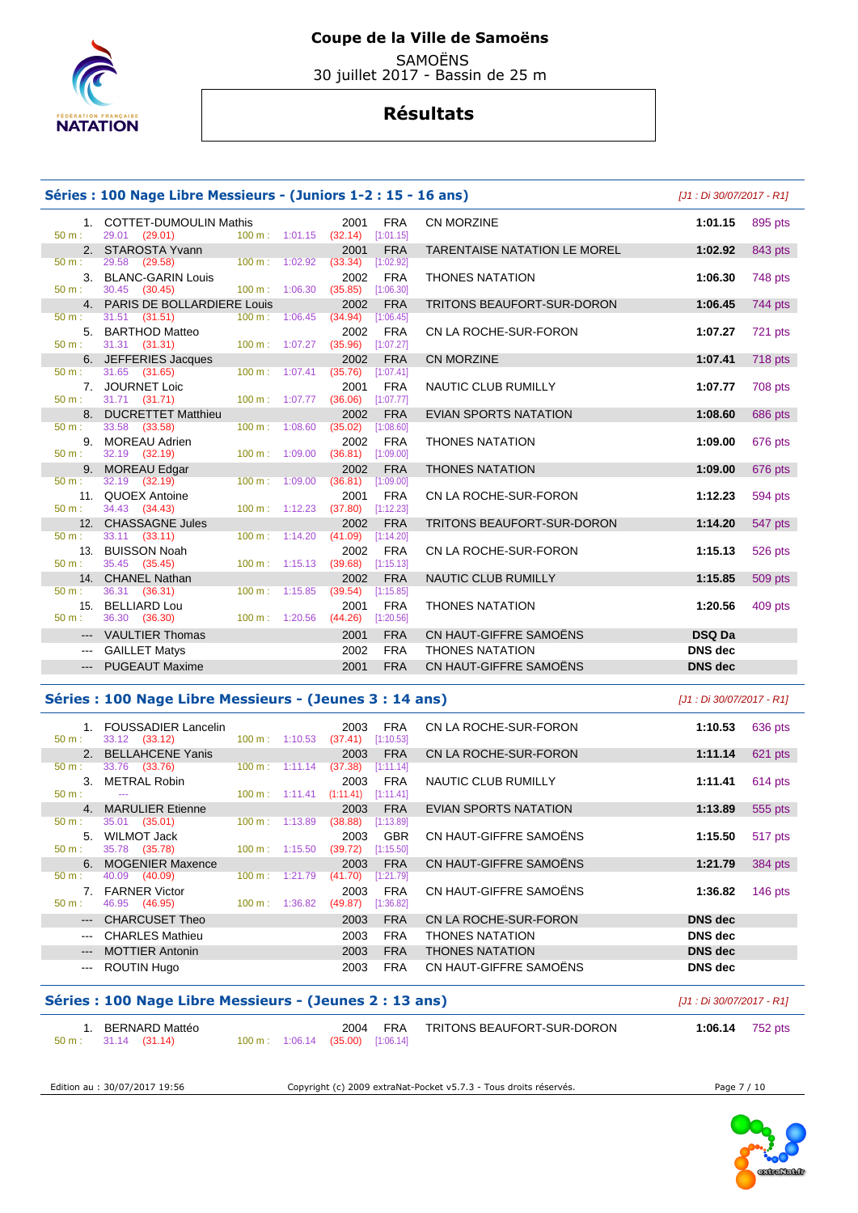

 SAMOËNS 30 juillet 2017 - Bassin de 25 m

# **Résultats**

|                             | Séries : 100 Nage Libre Messieurs - (Juniors 1-2 : 15 - 16 ans)<br>[J1 : Di 30/07/2017 - R1] |                                                |                                       |                                          |                                      |                                     |                |                |  |  |
|-----------------------------|----------------------------------------------------------------------------------------------|------------------------------------------------|---------------------------------------|------------------------------------------|--------------------------------------|-------------------------------------|----------------|----------------|--|--|
| 50 m:                       | 1. COTTET-DUMOULIN Mathis<br>29.01 (29.01)                                                   |                                                |                                       | 2001<br>100 m: 1:01.15 (32.14) [1:01.15] | <b>FRA</b>                           | CN MORZINE                          | 1:01.15        | 895 pts        |  |  |
| $50 m$ :                    | 2. STAROSTA Yvann<br>29.58 (29.58)                                                           | $100 \text{ m}$ : $1:02.92$                    |                                       | 2001<br>(33.34)                          | <b>FRA</b><br>[1:02.92]              | <b>TARENTAISE NATATION LE MOREL</b> | 1:02.92        | 843 pts        |  |  |
| $50 m$ :                    | 3. BLANC-GARIN Louis<br>30.45 (30.45)                                                        | 100 m: 1:06.30                                 |                                       | 2002<br>(35.85)                          | <b>FRA</b><br>[1:06.30]              | <b>THONES NATATION</b>              | 1:06.30        | 748 pts        |  |  |
|                             | 4. PARIS DE BOLLARDIERE Louis                                                                |                                                |                                       | 2002                                     | <b>FRA</b>                           | <b>TRITONS BEAUFORT-SUR-DORON</b>   | 1:06.45        | 744 pts        |  |  |
| $50 m$ :                    | $31.51$ (31.51)<br>5. BARTHOD Matteo                                                         | $100 m$ : 1:06.45                              |                                       | (34.94)<br>2002                          | [1:06.45]<br><b>FRA</b>              | CN LA ROCHE-SUR-FORON               | 1:07.27        | <b>721 pts</b> |  |  |
| $50 m$ :                    | 31.31 (31.31)<br>6. JEFFERIES Jacques                                                        | $100 m$ : $1:07.27$                            |                                       | (35.96)<br>2002                          | [1:07.27]<br><b>FRA</b>              | <b>CN MORZINE</b>                   | 1:07.41        | <b>718 pts</b> |  |  |
| 50 m:<br>$50 m$ :           | 31.65 (31.65)<br>7. JOURNET Loic<br>31.71 (31.71)                                            |                                                | $100 m$ : $1:07.41$<br>100 m: 1:07.77 | (35.76)<br>2001<br>(36.06)               | [1:07.41]<br><b>FRA</b><br>[1:07.77] | NAUTIC CLUB RUMILLY                 | 1:07.77        | 708 pts        |  |  |
|                             | 8. DUCRETTET Matthieu                                                                        |                                                |                                       | 2002                                     | <b>FRA</b>                           | EVIAN SPORTS NATATION               | 1:08.60        | 686 pts        |  |  |
| 50 m:<br>50 m:              | 33.58 (33.58)<br>9. MOREAU Adrien<br>32.19 (32.19)                                           | 100 m:<br>100 m: 1:09.00                       | 1:08.60                               | (35.02)<br>2002<br>$(36.81)$ [1:09.00]   | [1:08.60]<br><b>FRA</b>              | <b>THONES NATATION</b>              | 1:09.00        | 676 pts        |  |  |
|                             | 9. MOREAU Edgar                                                                              |                                                |                                       | 2002                                     | <b>FRA</b>                           | <b>THONES NATATION</b>              | 1:09.00        | 676 pts        |  |  |
| $50 m$ :<br>$50 m$ :        | 32.19 (32.19)<br>11. QUOEX Antoine<br>34.43 (34.43)                                          | $100 m$ :                                      | 1:09.00<br>100 m: 1:12.23             | (36.81)<br>2001<br>(37.80)               | [1:09.00]<br><b>FRA</b><br>[1:12.23] | CN LA ROCHE-SUR-FORON               | 1:12.23        | 594 pts        |  |  |
|                             | 12. CHASSAGNE Jules                                                                          |                                                |                                       | 2002                                     | <b>FRA</b>                           | <b>TRITONS BEAUFORT-SUR-DORON</b>   | 1:14.20        | 547 pts        |  |  |
| 50 m:<br>50 m:              | $33.11$ $(33.11)$<br>13. BUISSON Noah<br>35.45 (35.45)                                       | 100 m: 1:14.20                                 | 100 m: 1:15.13                        | (41.09)<br>2002<br>(39.68)               | [1:14.20]<br><b>FRA</b><br>[1:15.13] | CN LA ROCHE-SUR-FORON               | 1:15.13        | 526 pts        |  |  |
|                             | 14. CHANEL Nathan                                                                            |                                                |                                       | 2002                                     | <b>FRA</b>                           | NAUTIC CLUB RUMILLY                 | 1:15.85        | 509 pts        |  |  |
| $50 m$ :<br>15.<br>$50 m$ : | 36.31 (36.31)<br><b>BELLIARD Lou</b><br>36.30 (36.30)                                        | $100 \text{ m}$ : 1:15.85<br>$100 m$ : 1:20.56 |                                       | (39.54)<br>2001<br>(44.26)               | [1:15.85]<br><b>FRA</b><br>[1:20.56] | <b>THONES NATATION</b>              | 1:20.56        | 409 pts        |  |  |
| $---$                       | <b>VAULTIER Thomas</b>                                                                       |                                                |                                       | 2001                                     | <b>FRA</b>                           | CN HAUT-GIFFRE SAMOËNS              | <b>DSQ Da</b>  |                |  |  |
| $\qquad \qquad \cdots$      | <b>GAILLET Matys</b>                                                                         |                                                |                                       | 2002                                     | <b>FRA</b>                           | <b>THONES NATATION</b>              | <b>DNS</b> dec |                |  |  |
|                             | <b>PUGEAUT Maxime</b>                                                                        |                                                |                                       | 2001                                     | <b>FRA</b>                           | CN HAUT-GIFFRE SAMOËNS              | <b>DNS</b> dec |                |  |  |

#### **Séries : 100 Nage Libre Messieurs - (Jeunes 3 : 14 ans)** [J1 : Di 30/07/2017 - R1]

|               | <b>FOUSSADIER Lancelin</b> |                          |         | 2003      | <b>FRA</b> | CN LA ROCHE-SUR-FORON  | 1:10.53        | 636 pts   |
|---------------|----------------------------|--------------------------|---------|-----------|------------|------------------------|----------------|-----------|
| $50 m$ :      | 33.12 (33.12)              | $100 \text{ m}$ :        | 1:10.53 | (37.41)   | [1:10.53]  |                        |                |           |
|               | 2. BELLAHCENE Yanis        |                          |         | 2003      | <b>FRA</b> | CN LA ROCHE-SUR-FORON  | 1:11.14        | 621 pts   |
| 50 m:         | 33.76 (33.76)              | $100 \text{ m}$ :        | 1:11.14 | (37.38)   | [1:11.14]  |                        |                |           |
| $\mathcal{R}$ | METRAL Robin               |                          |         | 2003      | <b>FRA</b> | NAUTIC CLUB RUMILLY    | 1:11.41        | $614$ pts |
| $50 m$ :      | $- - -$                    | $100 \text{ m}: 1:11.41$ |         | (1:11.41) | [1:11.41]  |                        |                |           |
|               | 4. MARULIER Etienne        |                          |         | 2003      | <b>FRA</b> | EVIAN SPORTS NATATION  | 1:13.89        | 555 pts   |
| $50 m$ :      | (35.01)<br>35.01           | $100 \text{ m}$ :        | 1:13.89 | (38.88)   | [1:13.89]  |                        |                |           |
| $5 -$         | WILMOT Jack                |                          |         | 2003      | <b>GBR</b> | CN HAUT-GIFFRE SAMOËNS | 1:15.50        | 517 pts   |
| $50 m$ :      | 35.78 (35.78)              | $100 \text{ m}$ :        | 1:15.50 | (39.72)   | [1:15.50]  |                        |                |           |
|               | 6. MOGENIER Maxence        |                          |         | 2003      | <b>FRA</b> | CN HAUT-GIFFRE SAMOËNS | 1:21.79        | 384 pts   |
| $50 m$ :      | (40.09)<br>40.09           | 100 m:                   | 1:21.79 | (41.70)   | [1:21.79]  |                        |                |           |
|               | 7. FARNER Victor           |                          |         | 2003      | <b>FRA</b> | CN HAUT-GIFFRE SAMOËNS | 1:36.82        | 146 $pts$ |
| $50 m$ :      | 46.95 (46.95)              | $100 \text{ m}: 1:36.82$ |         | (49.87)   | [1:36.82]  |                        |                |           |
|               | <b>CHARCUSET Theo</b>      |                          |         | 2003      | <b>FRA</b> | CN LA ROCHE-SUR-FORON  | <b>DNS</b> dec |           |
| $  -$         | <b>CHARLES Mathieu</b>     |                          |         | 2003      | <b>FRA</b> | <b>THONES NATATION</b> | <b>DNS</b> dec |           |
| $---$         | <b>MOTTIER Antonin</b>     |                          |         | 2003      | <b>FRA</b> | <b>THONES NATATION</b> | <b>DNS</b> dec |           |
| $- - -$       | ROUTIN Hugo                |                          |         | 2003      | <b>FRA</b> | CN HAUT-GIFFRE SAMOËNS | <b>DNS</b> dec |           |

## **Séries : 100 Nage Libre Messieurs - (Jeunes 2 : 13 ans)** [J1 : Di 30/07/2017 - R1]

| BERNARD Mattéo                |  | 2004                             | <b>FRA</b> | TRITONS BEAUFORT-SUR-DORON | 1:06.14 | 752 pts |
|-------------------------------|--|----------------------------------|------------|----------------------------|---------|---------|
| $50 \text{ m}: 31.14 (31.14)$ |  | 100 m: 1:06.14 (35.00) [1:06.14] |            |                            |         |         |

Edition au : 30/07/2017 19:56 Copyright (c) 2009 extraNat-Pocket v5.7.3 - Tous droits réservés. Page 7 / 10

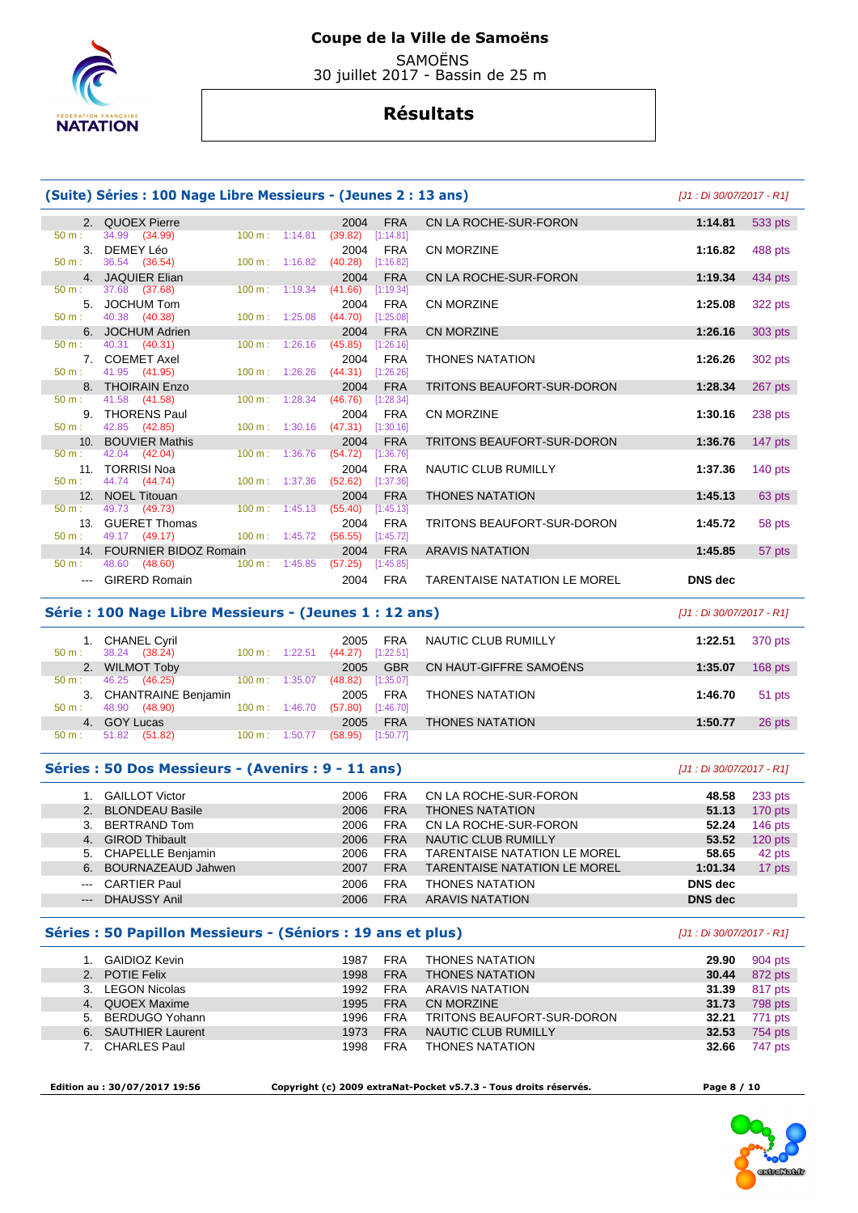

**SAMOËNS** 30 juillet 2017 - Bassin de 25 m

# **Résultats**

|                  | (Suite) Séries : 100 Nage Libre Messieurs - (Jeunes 2 : 13 ans) |                              |                                            |                                     |                | [J1 : Di 30/07/2017 - R1] |  |
|------------------|-----------------------------------------------------------------|------------------------------|--------------------------------------------|-------------------------------------|----------------|---------------------------|--|
| $50 m$ :         | 2. QUOEX Pierre<br>34.99 (34.99)                                | $100 \text{ m}$ : 1:14.81    | 2004<br><b>FRA</b><br>(39.82)<br>[1:14.81] | CN LA ROCHE-SUR-FORON               | 1:14.81        | 533 pts                   |  |
| 3.<br>$50 m$ :   | DEMEY Léo<br>36.54 (36.54)                                      | 100 m: 1:16.82               | <b>FRA</b><br>2004<br>(40.28)<br>[1:16.82] | <b>CN MORZINE</b>                   | 1:16.82        | 488 pts                   |  |
|                  | 4. JAQUIER Elian                                                |                              | <b>FRA</b><br>2004                         | CN LA ROCHE-SUR-FORON               | 1:19.34        | 434 pts                   |  |
| $50 m$ :         | 37.68 (37.68)                                                   | $100 \text{ m}$ : 1:19.34    | (41.66)<br>[1:19.34]                       |                                     |                |                           |  |
| 5 <sub>1</sub>   | JOCHUM Tom                                                      |                              | <b>FRA</b><br>2004                         | <b>CN MORZINE</b>                   | 1:25.08        | 322 pts                   |  |
| $50 m$ :         | 40.38 (40.38)                                                   | $100 \text{ m}$ : 1:25.08    | (44.70)<br>[1:25.08]                       |                                     |                |                           |  |
|                  | 6. JOCHUM Adrien                                                |                              | <b>FRA</b><br>2004                         | <b>CN MORZINE</b>                   | 1:26.16        | 303 pts                   |  |
| $50 m$ :         | 40.31 (40.31)                                                   | 100 m: 1:26.16               | (45.85)<br>[1:26.16]                       |                                     |                |                           |  |
| $50 m$ :         | 7. COEMET Axel<br>41.95 (41.95)                                 | $100 \text{ m}$ : 1:26.26    | <b>FRA</b><br>2004<br>(44.31)<br>[1:26.26] | <b>THONES NATATION</b>              | 1:26.26        | 302 pts                   |  |
|                  | 8. THOIRAIN Enzo                                                |                              | <b>FRA</b><br>2004                         | <b>TRITONS BEAUFORT-SUR-DORON</b>   | 1:28.34        | 267 pts                   |  |
| $50 \text{ m}$ : | 41.58 (41.58)                                                   | $100 \text{ m}$ : 1:28.34    | (46.76)<br>[1:28.34]                       |                                     |                |                           |  |
|                  | 9. THORENS Paul                                                 |                              | 2004<br><b>FRA</b>                         | CN MORZINE                          | 1:30.16        | 238 pts                   |  |
| $50 m$ :         | 42.85 (42.85)                                                   | $100 m$ : 1:30.16            | (47.31)<br>[1:30.16]                       |                                     |                |                           |  |
|                  | 10. BOUVIER Mathis                                              |                              | <b>FRA</b><br>2004                         | TRITONS BEAUFORT-SUR-DORON          | 1:36.76        | 147 pts                   |  |
| $50 m$ :         | 42.04 (42.04)                                                   | 1:36.76<br>$100 \text{ m}$ : | (54.72)<br>[1:36.76]                       |                                     |                |                           |  |
|                  | 11. TORRISI Noa                                                 |                              | <b>FRA</b><br>2004                         | NAUTIC CLUB RUMILLY                 | 1:37.36        | $140$ pts                 |  |
| $50 m$ :         | 44.74 (44.74)                                                   | 1:37.36<br>$100 \text{ m}$ : | (52.62)<br>[1:37.36]                       |                                     |                |                           |  |
|                  | 12. NOEL Titouan                                                |                              | <b>FRA</b><br>2004                         | <b>THONES NATATION</b>              | 1:45.13        | 63 pts                    |  |
| $50 m$ :         | 49.73 (49.73)                                                   | 100 m: 1:45.13               | (55.40)<br>[1:45.13]                       |                                     |                |                           |  |
| 13 <sub>1</sub>  | <b>GUERET Thomas</b><br>49.17 (49.17)                           | $100 m$ : 1:45.72            | 2004<br><b>FRA</b>                         | <b>TRITONS BEAUFORT-SUR-DORON</b>   | 1:45.72        | 58 pts                    |  |
| 50 m:            |                                                                 |                              | (56.55)<br>[1:45.72]                       |                                     |                |                           |  |
| $50 m$ :         | 14. FOURNIER BIDOZ Romain<br>48.60 (48.60)                      | $100 \text{ m}$ : 1:45.85    | <b>FRA</b><br>2004<br>(57.25)<br>[1:45.85] | <b>ARAVIS NATATION</b>              | 1:45.85        | 57 pts                    |  |
|                  | <b>GIRERD Romain</b>                                            |                              | <b>FRA</b><br>2004                         | <b>TARENTAISE NATATION LE MOREL</b> | <b>DNS</b> dec |                           |  |

## **Série : 100 Nage Libre Messieurs - (Jeunes 1 : 12 ans)** [J1 : Di 30/07/2017 - R1]

| $50 \text{ m}$ : | <b>CHANEL Cyril</b><br>38.24 (38.24) | $100 \text{ m}$ :        | 1:22.51 | 2005<br>(44.27) | <b>FRA</b><br>[1:22.51] | NAUTIC CLUB RUMILLY    | 1:22.51 | 370 pts   |
|------------------|--------------------------------------|--------------------------|---------|-----------------|-------------------------|------------------------|---------|-----------|
|                  | 2. WILMOT Toby                       |                          |         | 2005            | <b>GBR</b>              | CN HAUT-GIFFRE SAMOËNS | 1:35.07 | $168$ pts |
| $50 \text{ m}$ : | 46.25 (46.25)                        | $100 \text{ m}$ :        | 1:35.07 | (48.82)         | [1:35.07]               |                        |         |           |
|                  | 3. CHANTRAINE Benjamin               |                          |         | 2005            | <b>FRA</b>              | <b>THONES NATATION</b> | 1:46.70 | 51 pts    |
| $50 m$ :         | 48.90 (48.90)                        | $100 \text{ m}: 1:46.70$ |         | (57.80)         | [1:46.70]               |                        |         |           |
| 4.               | <b>GOY Lucas</b>                     |                          |         | 2005            | <b>FRA</b>              | <b>THONES NATATION</b> | 1:50.77 | 26 pts    |
| $50 m$ :         | 51.82<br>(51.82)                     | 100 m:                   | 1:50.77 | (58.95)         | [1:50.77]               |                        |         |           |

#### **Séries : 50 Dos Messieurs - (Avenirs : 9 - 11 ans)** [J1 : Di 30/07/2017 - R1]

|                                                                                                                                                                                                                                                                                                                                                                                                                                                                            | <b>GAILLOT Victor</b>    | 2006 | <b>FRA</b> | CN LA ROCHE-SUR-FORON               | 48.58          | 233 pts   |
|----------------------------------------------------------------------------------------------------------------------------------------------------------------------------------------------------------------------------------------------------------------------------------------------------------------------------------------------------------------------------------------------------------------------------------------------------------------------------|--------------------------|------|------------|-------------------------------------|----------------|-----------|
| 2.                                                                                                                                                                                                                                                                                                                                                                                                                                                                         | <b>BLONDEAU Basile</b>   | 2006 | <b>FRA</b> | <b>THONES NATATION</b>              | 51.13          | 170 pts   |
| 3.                                                                                                                                                                                                                                                                                                                                                                                                                                                                         | BERTRAND Tom             | 2006 | <b>FRA</b> | CN LA ROCHE-SUR-FORON               | 52.24          | $146$ pts |
|                                                                                                                                                                                                                                                                                                                                                                                                                                                                            | 4. GIROD Thibault        | 2006 | <b>FRA</b> | NAUTIC CLUB RUMILLY                 | 53.52          | $120$ pts |
| 5.                                                                                                                                                                                                                                                                                                                                                                                                                                                                         | <b>CHAPELLE Benjamin</b> | 2006 | <b>FRA</b> | <b>TARENTAISE NATATION LE MOREL</b> | 58.65          | 42 pts    |
| 6.                                                                                                                                                                                                                                                                                                                                                                                                                                                                         | BOURNAZEAUD Jahwen       | 2007 | <b>FRA</b> | <b>TARENTAISE NATATION LE MOREL</b> | 1:01.34        | 17 pts    |
| $\frac{1}{2} \left( \frac{1}{2} \right) \left( \frac{1}{2} \right) \left( \frac{1}{2} \right) \left( \frac{1}{2} \right) \left( \frac{1}{2} \right) \left( \frac{1}{2} \right) \left( \frac{1}{2} \right) \left( \frac{1}{2} \right) \left( \frac{1}{2} \right) \left( \frac{1}{2} \right) \left( \frac{1}{2} \right) \left( \frac{1}{2} \right) \left( \frac{1}{2} \right) \left( \frac{1}{2} \right) \left( \frac{1}{2} \right) \left( \frac{1}{2} \right) \left( \frac$ | <b>CARTIER Paul</b>      | 2006 | <b>FRA</b> | <b>THONES NATATION</b>              | DNS dec        |           |
| $\frac{1}{2} \left( \frac{1}{2} \right) \left( \frac{1}{2} \right) \left( \frac{1}{2} \right) \left( \frac{1}{2} \right) \left( \frac{1}{2} \right) \left( \frac{1}{2} \right) \left( \frac{1}{2} \right) \left( \frac{1}{2} \right) \left( \frac{1}{2} \right) \left( \frac{1}{2} \right) \left( \frac{1}{2} \right) \left( \frac{1}{2} \right) \left( \frac{1}{2} \right) \left( \frac{1}{2} \right) \left( \frac{1}{2} \right) \left( \frac{1}{2} \right) \left( \frac$ | <b>DHAUSSY Anil</b>      | 2006 | <b>FRA</b> | <b>ARAVIS NATATION</b>              | <b>DNS</b> dec |           |

#### **Séries : 50 Papillon Messieurs - (Séniors : 19 ans et plus)** [J1 : Di 30/07/2017 - R1]

| GAIDIOZ Kevin       | 1987 | <b>FRA</b> | <b>THONES NATATION</b>     | 29.90 | 904 pts |
|---------------------|------|------------|----------------------------|-------|---------|
| 2. POTIE Felix      | 1998 | <b>FRA</b> | <b>THONES NATATION</b>     | 30.44 | 872 pts |
| 3. LEGON Nicolas    | 1992 | <b>FRA</b> | ARAVIS NATATION            | 31.39 | 817 pts |
| 4. QUOEX Maxime     | 1995 | <b>FRA</b> | CN MORZINE                 | 31.73 | 798 pts |
| 5. BERDUGO Yohann   | 1996 | <b>FRA</b> | TRITONS BEAUFORT-SUR-DORON | 32.21 | 771 pts |
| 6. SAUTHIER Laurent | 1973 | <b>FRA</b> | NAUTIC CLUB RUMILLY        | 32.53 | 754 pts |
| 7. CHARLES Paul     | 1998 | <b>FRA</b> | <b>THONES NATATION</b>     | 32.66 | 747 pts |

 **Edition au : 30/07/2017 19:56 Copyright (c) 2009 extraNat-Pocket v5.7.3 - Tous droits réservés. Page 8 / 10** 

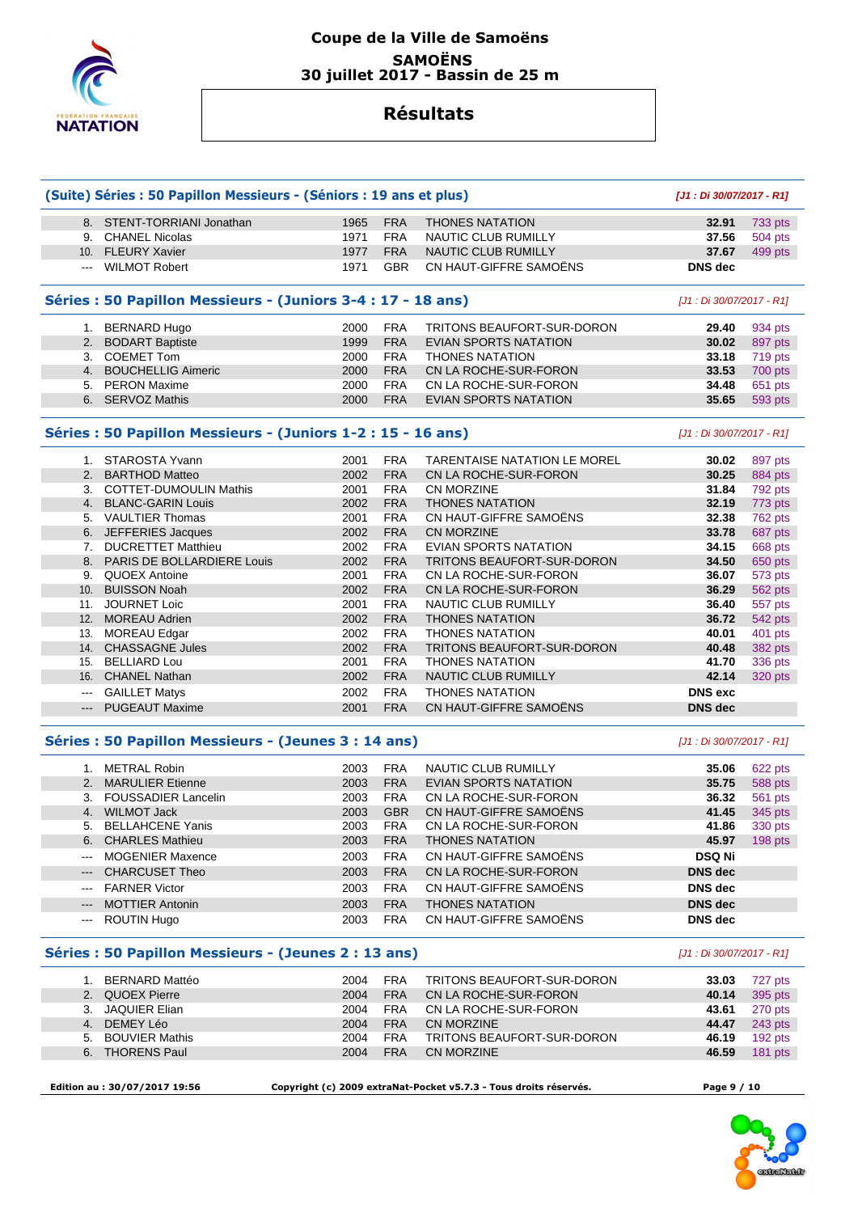

# **Coupe de la Ville de Samoëns SAMOËNS 30 juillet 2017 - Bassin de 25 m**

# **Résultats**

|                   | (Suite) Séries : 50 Papillon Messieurs - (Séniors : 19 ans et plus) | [J1: Di 30/07/2017 - R1]                                          |             |                                     |                           |                |
|-------------------|---------------------------------------------------------------------|-------------------------------------------------------------------|-------------|-------------------------------------|---------------------------|----------------|
|                   | 8. STENT-TORRIANI Jonathan                                          | 1965                                                              | <b>FRA</b>  | <b>THONES NATATION</b>              | 32.91                     | 733 pts        |
|                   | 9. CHANEL Nicolas                                                   | 1971                                                              | <b>FRA</b>  | NAUTIC CLUB RUMILLY                 | 37.56                     | 504 pts        |
| 10.               | <b>FLEURY Xavier</b>                                                | 1977                                                              | <b>FRA</b>  | <b>NAUTIC CLUB RUMILLY</b>          | 37.67                     | 499 pts        |
| ---               | <b>WILMOT Robert</b>                                                | 1971                                                              | <b>GBR</b>  | CN HAUT-GIFFRE SAMOËNS              | <b>DNS</b> dec            |                |
|                   | Séries : 50 Papillon Messieurs - (Juniors 3-4 : 17 - 18 ans)        |                                                                   |             |                                     | [J1 : Di 30/07/2017 - R1] |                |
|                   | 1. BERNARD Hugo                                                     | 2000                                                              | <b>FRA</b>  | TRITONS BEAUFORT-SUR-DORON          | 29.40                     | 934 pts        |
|                   | 2. BODART Baptiste                                                  | 1999                                                              | <b>FRA</b>  | <b>EVIAN SPORTS NATATION</b>        | 30.02                     | 897 pts        |
|                   | 3. COEMET Tom                                                       | 2000                                                              | <b>FRA</b>  | <b>THONES NATATION</b>              | 33.18                     | 719 pts        |
|                   | 4. BOUCHELLIG Aimeric                                               | 2000                                                              | <b>FRA</b>  | CN LA ROCHE-SUR-FORON               | 33.53                     | 700 pts        |
| 5.                | <b>PERON Maxime</b>                                                 | 2000                                                              | <b>FRA</b>  | CN LA ROCHE-SUR-FORON               | 34.48                     | 651 pts        |
|                   |                                                                     |                                                                   |             |                                     |                           |                |
|                   | 6. SERVOZ Mathis                                                    | 2000                                                              | <b>FRA</b>  | <b>EVIAN SPORTS NATATION</b>        | 35.65                     | 593 pts        |
|                   | Séries : 50 Papillon Messieurs - (Juniors 1-2 : 15 - 16 ans)        |                                                                   |             |                                     | [J1 : Di 30/07/2017 - R1] |                |
|                   | 1. STAROSTA Yvann                                                   | 2001                                                              | <b>FRA</b>  | <b>TARENTAISE NATATION LE MOREL</b> | 30.02                     | 897 pts        |
| 2.                | <b>BARTHOD Matteo</b>                                               | 2002                                                              | <b>FRA</b>  | CN LA ROCHE-SUR-FORON               | 30.25                     | 884 pts        |
|                   | 3. COTTET-DUMOULIN Mathis                                           | 2001                                                              | <b>FRA</b>  | CN MORZINE                          | 31.84                     | 792 pts        |
|                   | 4. BLANC-GARIN Louis                                                | 2002                                                              | <b>FRA</b>  | <b>THONES NATATION</b>              | 32.19                     | 773 pts        |
|                   | 5. VAULTIER Thomas                                                  | 2001                                                              | <b>FRA</b>  | CN HAUT-GIFFRE SAMOËNS              | 32.38                     | 762 pts        |
|                   | 6. JEFFERIES Jacques                                                | 2002                                                              | <b>FRA</b>  | <b>CN MORZINE</b>                   | 33.78                     | 687 pts        |
| 7.                | <b>DUCRETTET Matthieu</b>                                           | 2002                                                              | <b>FRA</b>  | <b>EVIAN SPORTS NATATION</b>        | 34.15                     | 668 pts        |
| 8.                | PARIS DE BOLLARDIERE Louis                                          | 2002                                                              | <b>FRA</b>  | TRITONS BEAUFORT-SUR-DORON          | 34.50                     | 650 pts        |
|                   | 9. QUOEX Antoine                                                    | 2001                                                              | <b>FRA</b>  | CN LA ROCHE-SUR-FORON               | 36.07                     | 573 pts        |
| 10.               | <b>BUISSON Noah</b>                                                 | 2002                                                              | <b>FRA</b>  | CN LA ROCHE-SUR-FORON               | 36.29                     | 562 pts        |
|                   | 11. JOURNET Loic                                                    | 2001                                                              | <b>FRA</b>  | NAUTIC CLUB RUMILLY                 | 36.40                     | 557 pts        |
|                   | 12. MOREAU Adrien                                                   | 2002                                                              | <b>FRA</b>  | <b>THONES NATATION</b>              | 36.72                     | 542 pts        |
| 13.               | <b>MOREAU Edgar</b>                                                 | 2002                                                              | <b>FRA</b>  | <b>THONES NATATION</b>              | 40.01                     | 401 pts        |
|                   | 14. CHASSAGNE Jules                                                 | 2002                                                              | <b>FRA</b>  | TRITONS BEAUFORT-SUR-DORON          | 40.48                     | 382 pts        |
| 15.               | <b>BELLIARD Lou</b>                                                 | 2001                                                              | <b>FRA</b>  | <b>THONES NATATION</b>              | 41.70                     | 336 pts        |
| 16.               | <b>CHANEL Nathan</b>                                                | 2002                                                              | <b>FRA</b>  | <b>NAUTIC CLUB RUMILLY</b>          | 42.14                     | 320 pts        |
| $\sim$            | <b>GAILLET Matys</b>                                                | 2002                                                              | <b>FRA</b>  | <b>THONES NATATION</b>              | <b>DNS</b> exc            |                |
| ---               | <b>PUGEAUT Maxime</b>                                               | 2001                                                              | <b>FRA</b>  | CN HAUT-GIFFRE SAMOËNS              | <b>DNS</b> dec            |                |
|                   |                                                                     |                                                                   |             |                                     |                           |                |
|                   | Séries : 50 Papillon Messieurs - (Jeunes 3 : 14 ans)                |                                                                   |             |                                     | [J1 : Di 30/07/2017 - R1] |                |
|                   | 1. METRAL Robin                                                     | 2003                                                              | <b>FRA</b>  | NAUTIC CLUB RUMILLY                 | 35.06                     | 622 pts        |
|                   | 2. MARULIER Etienne                                                 | 2003                                                              | <b>FRA</b>  | <b>EVIAN SPORTS NATATION</b>        | 35.75                     | 588 pts        |
| 3.                | <b>FOUSSADIER Lancelin</b>                                          | 2003                                                              | <b>FRA</b>  | CN LA ROCHE-SUR-FORON               | 36.32                     | 561 pts        |
| 4.                | <b>WILMOT Jack</b>                                                  | 2003                                                              | <b>GBR</b>  | CN HAUT-GIFFRE SAMOENS              | 41.45                     | <b>345 pts</b> |
| 5.                | <b>BELLAHCENE Yanis</b>                                             | 2003                                                              | <b>FRA</b>  | CN LA ROCHE-SUR-FORON               | 41.86                     | 330 pts        |
| 6.                | <b>CHARLES Mathieu</b>                                              | 2003                                                              | <b>FRA</b>  | <b>THONES NATATION</b>              | 45.97                     | 198 pts        |
| ---               | <b>MOGENIER Maxence</b>                                             | 2003                                                              | FRA         | CN HAUT-GIFFRE SAMOENS              | <b>DSQ Ni</b>             |                |
| $---$             | <b>CHARCUSET Theo</b>                                               | 2003                                                              | <b>FRA</b>  | CN LA ROCHE-SUR-FORON               | <b>DNS</b> dec            |                |
| $\qquad \qquad -$ | <b>FARNER Victor</b>                                                | 2003                                                              | <b>FRA</b>  | CN HAUT-GIFFRE SAMOËNS              | <b>DNS</b> dec            |                |
| ---               | <b>MOTTIER Antonin</b>                                              | 2003                                                              | <b>FRA</b>  | <b>THONES NATATION</b>              | <b>DNS</b> dec            |                |
| ---               | <b>ROUTIN Hugo</b>                                                  | 2003                                                              | <b>FRA</b>  | CN HAUT-GIFFRE SAMOËNS              | <b>DNS</b> dec            |                |
|                   | Séries : 50 Papillon Messieurs - (Jeunes 2 : 13 ans)                |                                                                   |             |                                     | [J1 : Di 30/07/2017 - R1] |                |
|                   | 1. BERNARD Mattéo                                                   | 2004                                                              | <b>FRA</b>  | TRITONS BEAUFORT-SUR-DORON          | 33.03                     | 727 pts        |
|                   | 2. QUOEX Pierre                                                     | 2004                                                              | <b>FRA</b>  | CN LA ROCHE-SUR-FORON               | 40.14                     | 395 pts        |
|                   | 3. JAQUIER Elian                                                    | 2004                                                              | FRA         | CN LA ROCHE-SUR-FORON               | 43.61                     | 270 pts        |
|                   | 4. DEMEY Léo                                                        | 2004                                                              | <b>FRA</b>  | <b>CN MORZINE</b>                   | 44.47                     | 243 pts        |
|                   | 5. BOUVIER Mathis                                                   | 2004                                                              | <b>FRA</b>  | TRITONS BEAUFORT-SUR-DORON          | 46.19                     | 192 pts        |
|                   | 6. THORENS Paul                                                     | 2004                                                              | <b>FRA</b>  | CN MORZINE                          | 46.59                     | 181 pts        |
|                   |                                                                     |                                                                   |             |                                     |                           |                |
|                   | Edition au: 30/07/2017 19:56                                        | Copyright (c) 2009 extraNat-Pocket v5.7.3 - Tous droits réservés. | Page 9 / 10 |                                     |                           |                |